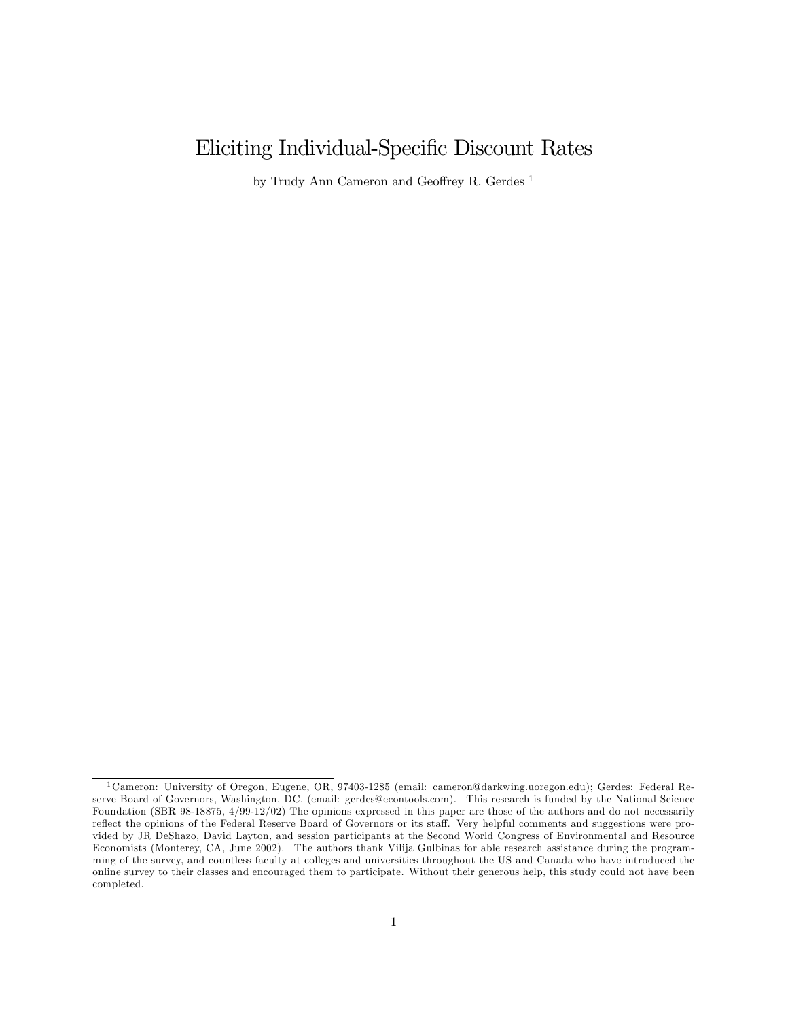# Eliciting Individual-Specific Discount Rates

by Trudy Ann Cameron and Geoffrey R. Gerdes<sup>1</sup>

<sup>1</sup>Cameron: University of Oregon, Eugene, OR, 97403-1285 (email: cameron@darkwing.uoregon.edu); Gerdes: Federal Reserve Board of Governors, Washington, DC. (email: gerdes@econtools.com). This research is funded by the National Science Foundation (SBR 98-18875, 4/99-12/02) The opinions expressed in this paper are those of the authors and do not necessarily reflect the opinions of the Federal Reserve Board of Governors or its staff. Very helpful comments and suggestions were provided by JR DeShazo, David Layton, and session participants at the Second World Congress of Environmental and Resource Economists (Monterey, CA, June 2002). The authors thank Vilija Gulbinas for able research assistance during the programming of the survey, and countless faculty at colleges and universities throughout the US and Canada who have introduced the online survey to their classes and encouraged them to participate. Without their generous help, this study could not have been completed.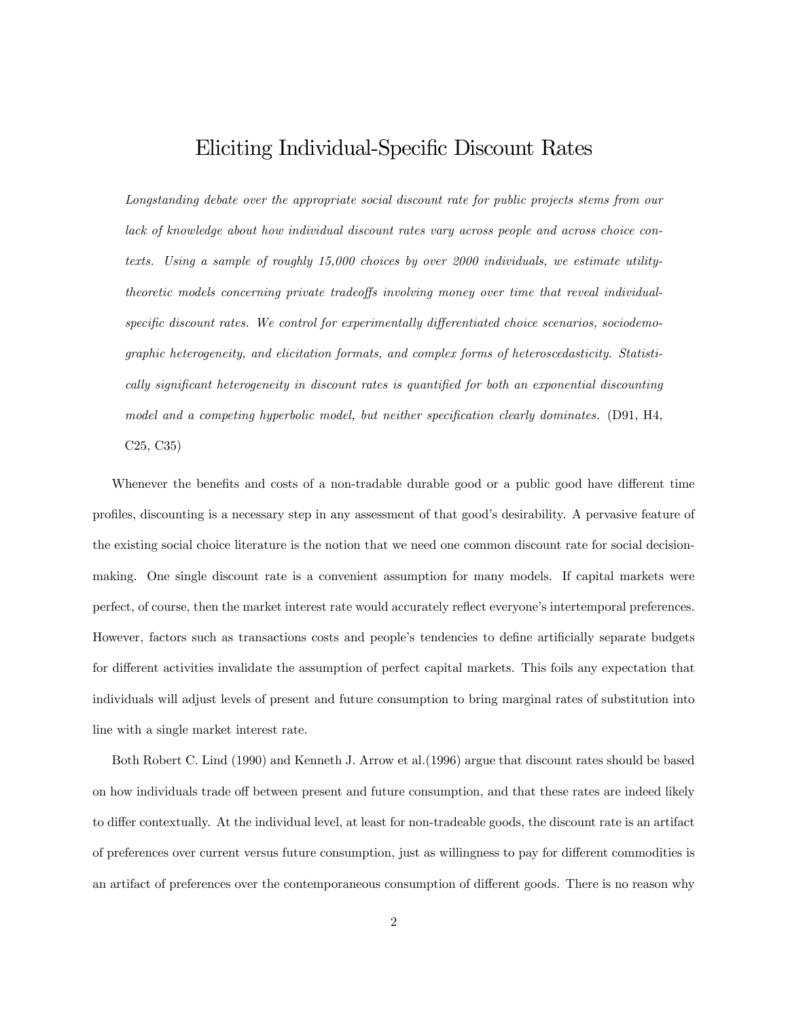# Eliciting Individual-Specific Discount Rates

Longstanding debate over the appropriate social discount rate for public projects stems from our lack of knowledge about how individual discount rates vary across people and across choice contexts. Using a sample of roughly 15,000 choices by over 2000 individuals, we estimate utilitytheoretic models concerning private tradeoffs involving money over time that reveal individualspecific discount rates. We control for experimentally differentiated choice scenarios, sociodemographic heterogeneity, and elicitation formats, and complex forms of heteroscedasticity. Statistically significant heterogeneity in discount rates is quantified for both an exponential discounting model and a competing hyperbolic model, but neither specification clearly dominates. (D91, H4, C25, C35)

Whenever the benefits and costs of a non-tradable durable good or a public good have different time profiles, discounting is a necessary step in any assessment of that good's desirability. A pervasive feature of the existing social choice literature is the notion that we need one common discount rate for social decisionmaking. One single discount rate is a convenient assumption for many models. If capital markets were perfect, of course, then the market interest rate would accurately reflect everyone's intertemporal preferences. However, factors such as transactions costs and people's tendencies to define artificially separate budgets for different activities invalidate the assumption of perfect capital markets. This foils any expectation that individuals will adjust levels of present and future consumption to bring marginal rates of substitution into line with a single market interest rate.

Both Robert C. Lind (1990) and Kenneth J. Arrow et al.(1996) argue that discount rates should be based on how individuals trade off between present and future consumption, and that these rates are indeed likely to differ contextually. At the individual level, at least for non-tradeable goods, the discount rate is an artifact of preferences over current versus future consumption, just as willingness to pay for different commodities is an artifact of preferences over the contemporaneous consumption of different goods. There is no reason why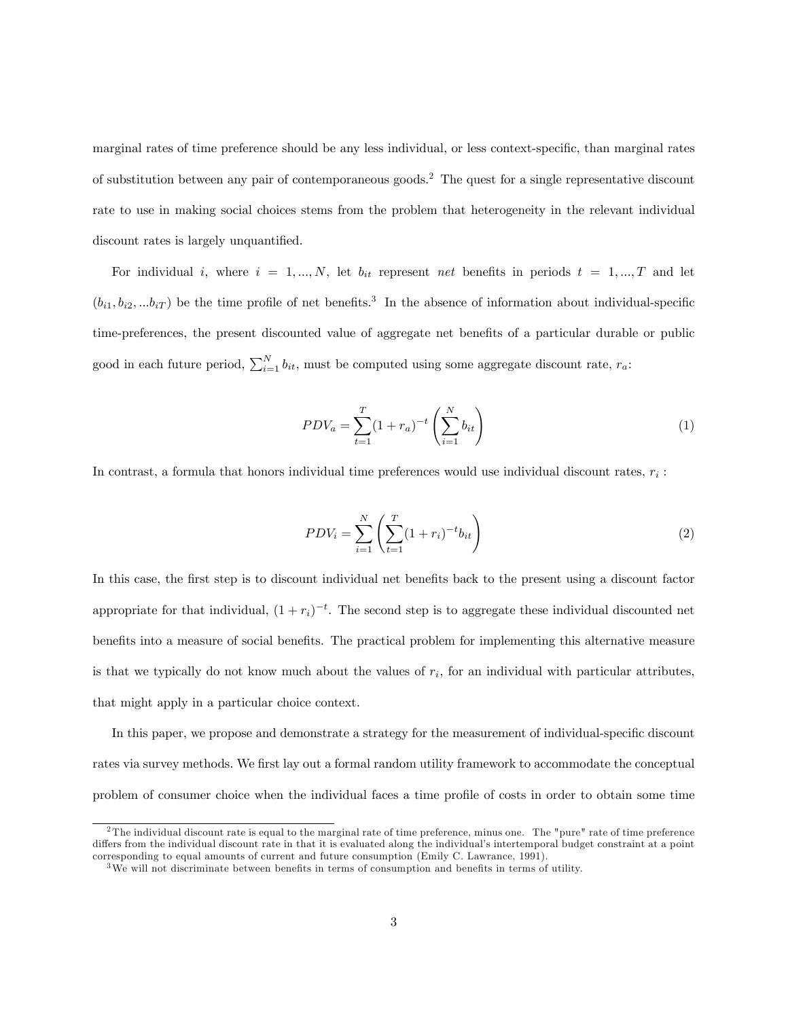marginal rates of time preference should be any less individual, or less context-specific, than marginal rates of substitution between any pair of contemporaneous goods.<sup>2</sup> The quest for a single representative discount rate to use in making social choices stems from the problem that heterogeneity in the relevant individual discount rates is largely unquantified.

For individual i, where  $i = 1, ..., N$ , let  $b_{it}$  represent net benefits in periods  $t = 1, ..., T$  and let  $(b_{i1}, b_{i2}, \ldots b_{iT})$  be the time profile of net benefits.<sup>3</sup> In the absence of information about individual-specific time-preferences, the present discounted value of aggregate net benefits of a particular durable or public good in each future period,  $\sum_{i=1}^{N} b_{it}$ , must be computed using some aggregate discount rate,  $r_a$ :

$$
PDV_a = \sum_{t=1}^{T} (1 + r_a)^{-t} \left(\sum_{i=1}^{N} b_{it}\right)
$$
 (1)

In contrast, a formula that honors individual time preferences would use individual discount rates,  $r_i$ :

$$
PDV_i = \sum_{i=1}^{N} \left( \sum_{t=1}^{T} (1+r_i)^{-t} b_{it} \right)
$$
 (2)

In this case, the first step is to discount individual net benefits back to the present using a discount factor appropriate for that individual,  $(1 + r_i)^{-t}$ . The second step is to aggregate these individual discounted net benefits into a measure of social benefits. The practical problem for implementing this alternative measure is that we typically do not know much about the values of  $r_i$ , for an individual with particular attributes, that might apply in a particular choice context.

In this paper, we propose and demonstrate a strategy for the measurement of individual-specific discount rates via survey methods. We first lay out a formal random utility framework to accommodate the conceptual problem of consumer choice when the individual faces a time profile of costs in order to obtain some time

 $2$ The individual discount rate is equal to the marginal rate of time preference, minus one. The "pure" rate of time preference differs from the individual discount rate in that it is evaluated along the individual's intertemporal budget constraint at a point corresponding to equal amounts of current and future consumption (Emily C. Lawrance, 1991).

<sup>3</sup>We will not discriminate between benefits in terms of consumption and benefits in terms of utility.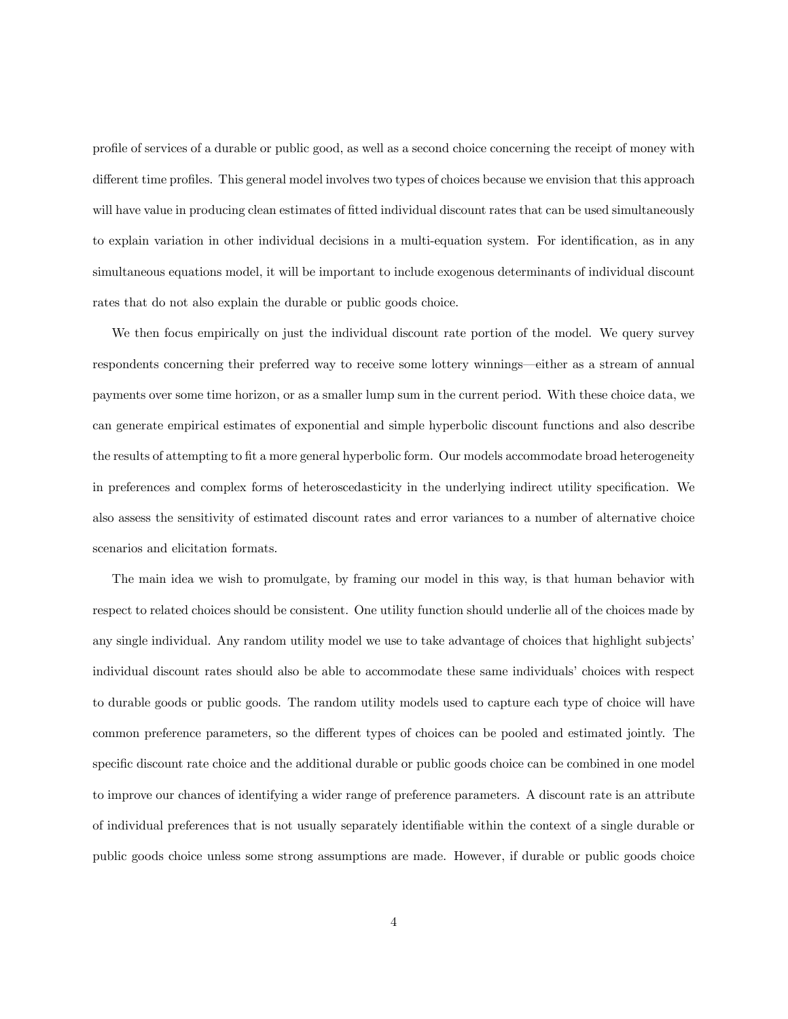profile of services of a durable or public good, as well as a second choice concerning the receipt of money with different time profiles. This general model involves two types of choices because we envision that this approach will have value in producing clean estimates of fitted individual discount rates that can be used simultaneously to explain variation in other individual decisions in a multi-equation system. For identification, as in any simultaneous equations model, it will be important to include exogenous determinants of individual discount rates that do not also explain the durable or public goods choice.

We then focus empirically on just the individual discount rate portion of the model. We query survey respondents concerning their preferred way to receive some lottery winnings–either as a stream of annual payments over some time horizon, or as a smaller lump sum in the current period. With these choice data, we can generate empirical estimates of exponential and simple hyperbolic discount functions and also describe the results of attempting to fit a more general hyperbolic form. Our models accommodate broad heterogeneity in preferences and complex forms of heteroscedasticity in the underlying indirect utility specification. We also assess the sensitivity of estimated discount rates and error variances to a number of alternative choice scenarios and elicitation formats.

The main idea we wish to promulgate, by framing our model in this way, is that human behavior with respect to related choices should be consistent. One utility function should underlie all of the choices made by any single individual. Any random utility model we use to take advantage of choices that highlight subjects' individual discount rates should also be able to accommodate these same individuals' choices with respect to durable goods or public goods. The random utility models used to capture each type of choice will have common preference parameters, so the different types of choices can be pooled and estimated jointly. The specific discount rate choice and the additional durable or public goods choice can be combined in one model to improve our chances of identifying a wider range of preference parameters. A discount rate is an attribute of individual preferences that is not usually separately identifiable within the context of a single durable or public goods choice unless some strong assumptions are made. However, if durable or public goods choice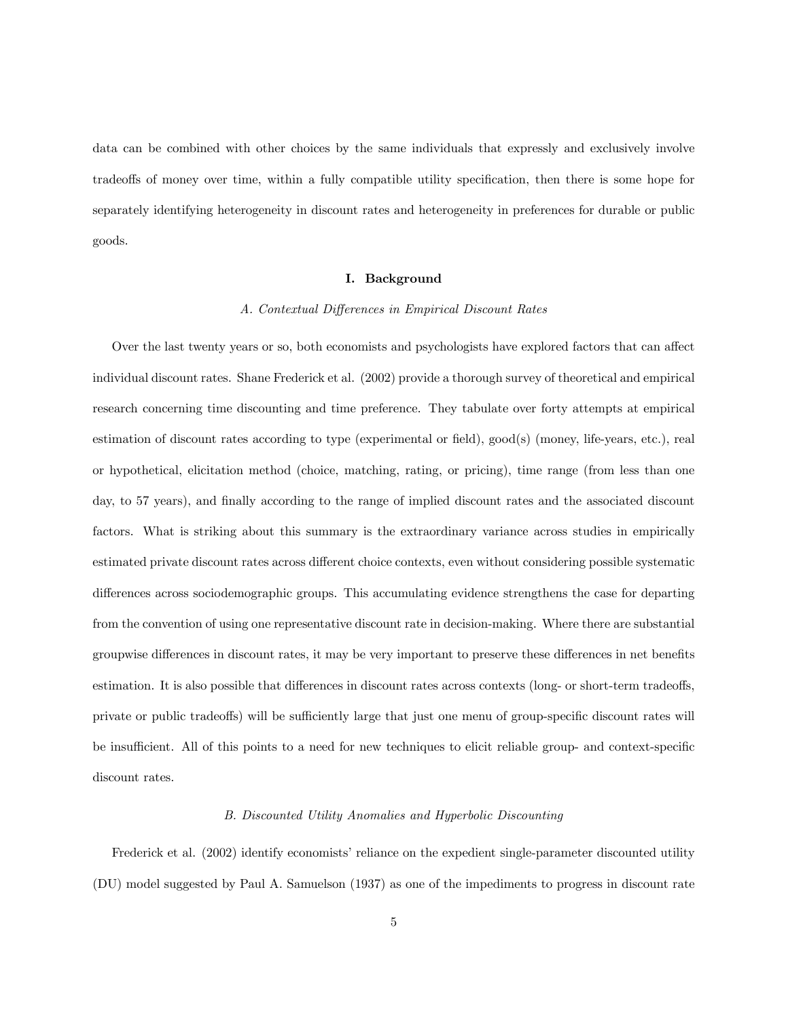data can be combined with other choices by the same individuals that expressly and exclusively involve tradeoffs of money over time, within a fully compatible utility specification, then there is some hope for separately identifying heterogeneity in discount rates and heterogeneity in preferences for durable or public goods.

### I. Background

#### A. Contextual Differences in Empirical Discount Rates

Over the last twenty years or so, both economists and psychologists have explored factors that can affect individual discount rates. Shane Frederick et al. (2002) provide a thorough survey of theoretical and empirical research concerning time discounting and time preference. They tabulate over forty attempts at empirical estimation of discount rates according to type (experimental or field), good(s) (money, life-years, etc.), real or hypothetical, elicitation method (choice, matching, rating, or pricing), time range (from less than one day, to 57 years), and finally according to the range of implied discount rates and the associated discount factors. What is striking about this summary is the extraordinary variance across studies in empirically estimated private discount rates across different choice contexts, even without considering possible systematic differences across sociodemographic groups. This accumulating evidence strengthens the case for departing from the convention of using one representative discount rate in decision-making. Where there are substantial groupwise differences in discount rates, it may be very important to preserve these differences in net benefits estimation. It is also possible that differences in discount rates across contexts (long- or short-term tradeoffs, private or public tradeoffs) will be sufficiently large that just one menu of group-specific discount rates will be insufficient. All of this points to a need for new techniques to elicit reliable group- and context-specific discount rates.

# B. Discounted Utility Anomalies and Hyperbolic Discounting

Frederick et al. (2002) identify economists' reliance on the expedient single-parameter discounted utility (DU) model suggested by Paul A. Samuelson (1937) as one of the impediments to progress in discount rate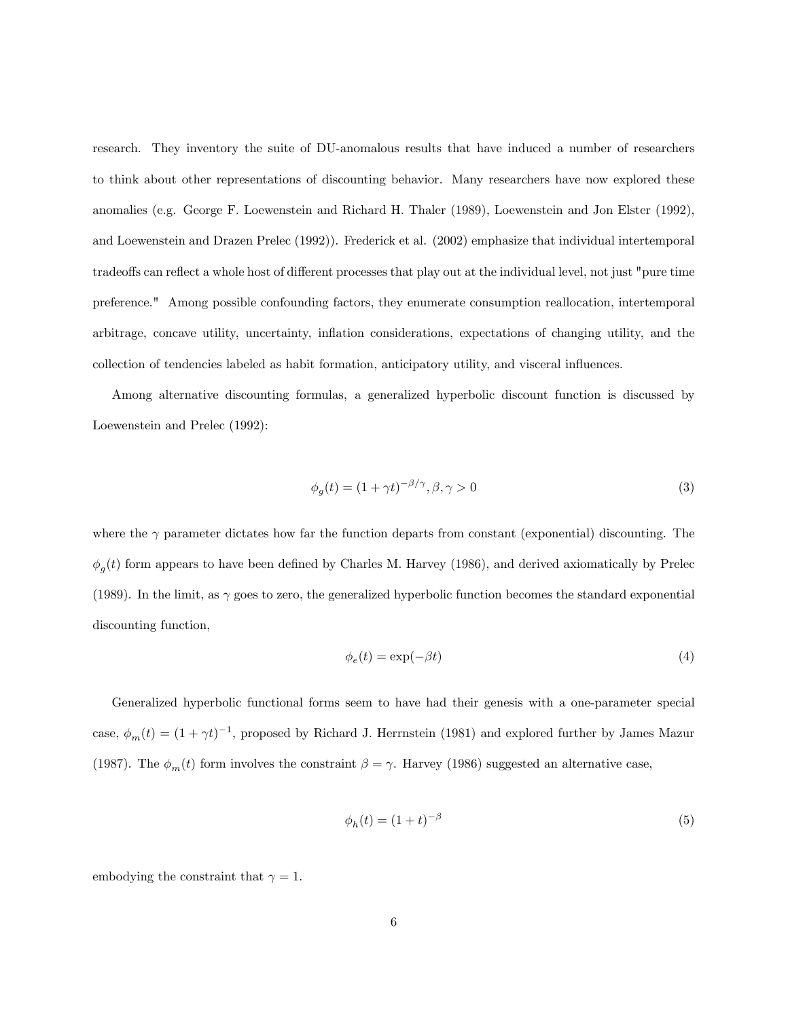research. They inventory the suite of DU-anomalous results that have induced a number of researchers to think about other representations of discounting behavior. Many researchers have now explored these anomalies (e.g. George F. Loewenstein and Richard H. Thaler (1989), Loewenstein and Jon Elster (1992), and Loewenstein and Drazen Prelec (1992)). Frederick et al. (2002) emphasize that individual intertemporal tradeoffs can reflect a whole host of different processes that play out at the individual level, not just "pure time preference." Among possible confounding factors, they enumerate consumption reallocation, intertemporal arbitrage, concave utility, uncertainty, inflation considerations, expectations of changing utility, and the collection of tendencies labeled as habit formation, anticipatory utility, and visceral influences.

Among alternative discounting formulas, a generalized hyperbolic discount function is discussed by Loewenstein and Prelec (1992):

$$
\phi_g(t) = (1 + \gamma t)^{-\beta/\gamma}, \beta, \gamma > 0 \tag{3}
$$

where the  $\gamma$  parameter dictates how far the function departs from constant (exponential) discounting. The  $\phi_g(t)$  form appears to have been defined by Charles M. Harvey (1986), and derived axiomatically by Prelec (1989). In the limit, as  $\gamma$  goes to zero, the generalized hyperbolic function becomes the standard exponential discounting function,

$$
\phi_e(t) = \exp(-\beta t) \tag{4}
$$

Generalized hyperbolic functional forms seem to have had their genesis with a one-parameter special case,  $\phi_m(t) = (1 + \gamma t)^{-1}$ , proposed by Richard J. Herrnstein (1981) and explored further by James Mazur (1987). The  $\phi_m(t)$  form involves the constraint  $\beta = \gamma$ . Harvey (1986) suggested an alternative case,

$$
\phi_h(t) = (1+t)^{-\beta} \tag{5}
$$

embodying the constraint that  $\gamma = 1$ .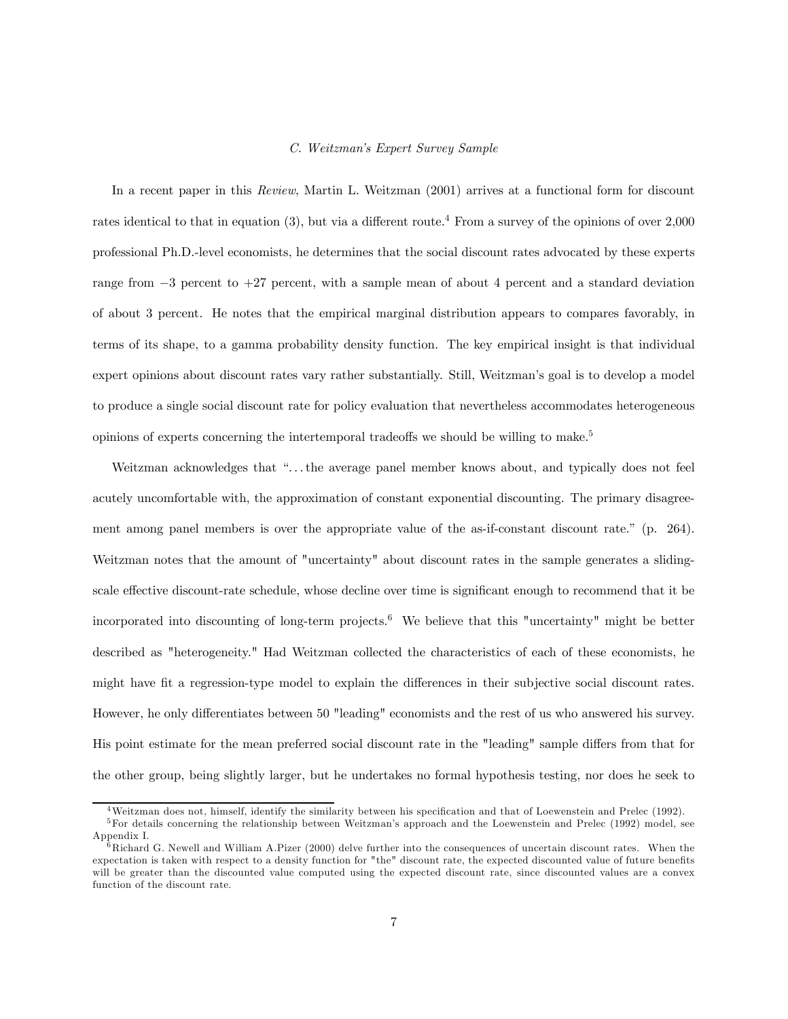#### C. Weitzman's Expert Survey Sample

In a recent paper in this Review, Martin L. Weitzman (2001) arrives at a functional form for discount rates identical to that in equation (3), but via a different route.<sup>4</sup> From a survey of the opinions of over 2,000 professional Ph.D.-level economists, he determines that the social discount rates advocated by these experts range from −3 percent to +27 percent, with a sample mean of about 4 percent and a standard deviation of about 3 percent. He notes that the empirical marginal distribution appears to compares favorably, in terms of its shape, to a gamma probability density function. The key empirical insight is that individual expert opinions about discount rates vary rather substantially. Still, Weitzman's goal is to develop a model to produce a single social discount rate for policy evaluation that nevertheless accommodates heterogeneous opinions of experts concerning the intertemporal tradeoffs we should be willing to make.5

Weitzman acknowledges that "...the average panel member knows about, and typically does not feel acutely uncomfortable with, the approximation of constant exponential discounting. The primary disagreement among panel members is over the appropriate value of the as-if-constant discount rate." (p. 264). Weitzman notes that the amount of "uncertainty" about discount rates in the sample generates a slidingscale effective discount-rate schedule, whose decline over time is significant enough to recommend that it be incorporated into discounting of long-term projects.<sup>6</sup> We believe that this "uncertainty" might be better described as "heterogeneity." Had Weitzman collected the characteristics of each of these economists, he might have fit a regression-type model to explain the differences in their subjective social discount rates. However, he only differentiates between 50 "leading" economists and the rest of us who answered his survey. His point estimate for the mean preferred social discount rate in the "leading" sample differs from that for the other group, being slightly larger, but he undertakes no formal hypothesis testing, nor does he seek to

<sup>4</sup>Weitzman does not, himself, identify the similarity between his specification and that of Loewenstein and Prelec (1992).

<sup>&</sup>lt;sup>5</sup>For details concerning the relationship between Weitzman's approach and the Loewenstein and Prelec (1992) model, see Appendix I.

 $^{\overline{6}}$ Richard G. Newell and William A.Pizer (2000) delve further into the consequences of uncertain discount rates. When the expectation is taken with respect to a density function for "the" discount rate, the expected discounted value of future benefits will be greater than the discounted value computed using the expected discount rate, since discounted values are a convex function of the discount rate.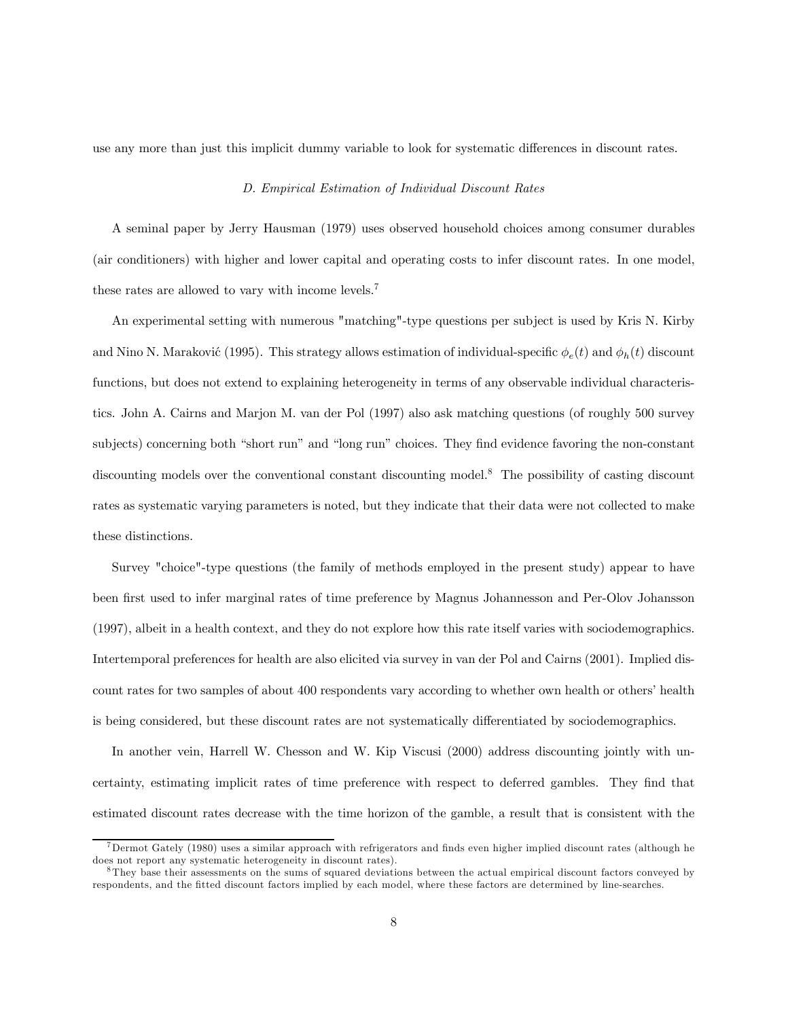use any more than just this implicit dummy variable to look for systematic differences in discount rates.

#### D. Empirical Estimation of Individual Discount Rates

A seminal paper by Jerry Hausman (1979) uses observed household choices among consumer durables (air conditioners) with higher and lower capital and operating costs to infer discount rates. In one model, these rates are allowed to vary with income levels.7

An experimental setting with numerous "matching"-type questions per subject is used by Kris N. Kirby and Nino N. Maraković (1995). This strategy allows estimation of individual-specific  $\phi_e(t)$  and  $\phi_h(t)$  discount functions, but does not extend to explaining heterogeneity in terms of any observable individual characteristics. John A. Cairns and Marjon M. van der Pol (1997) also ask matching questions (of roughly 500 survey subjects) concerning both "short run" and "long run" choices. They find evidence favoring the non-constant discounting models over the conventional constant discounting model.<sup>8</sup> The possibility of casting discount rates as systematic varying parameters is noted, but they indicate that their data were not collected to make these distinctions.

Survey "choice"-type questions (the family of methods employed in the present study) appear to have been first used to infer marginal rates of time preference by Magnus Johannesson and Per-Olov Johansson (1997), albeit in a health context, and they do not explore how this rate itself varies with sociodemographics. Intertemporal preferences for health are also elicited via survey in van der Pol and Cairns (2001). Implied discount rates for two samples of about 400 respondents vary according to whether own health or others' health is being considered, but these discount rates are not systematically differentiated by sociodemographics.

In another vein, Harrell W. Chesson and W. Kip Viscusi (2000) address discounting jointly with uncertainty, estimating implicit rates of time preference with respect to deferred gambles. They find that estimated discount rates decrease with the time horizon of the gamble, a result that is consistent with the

<sup>7</sup>Dermot Gately (1980) uses a similar approach with refrigerators and finds even higher implied discount rates (although he does not report any systematic heterogeneity in discount rates).

<sup>8</sup>They base their assessments on the sums of squared deviations between the actual empirical discount factors conveyed by respondents, and the fitted discount factors implied by each model, where these factors are determined by line-searches.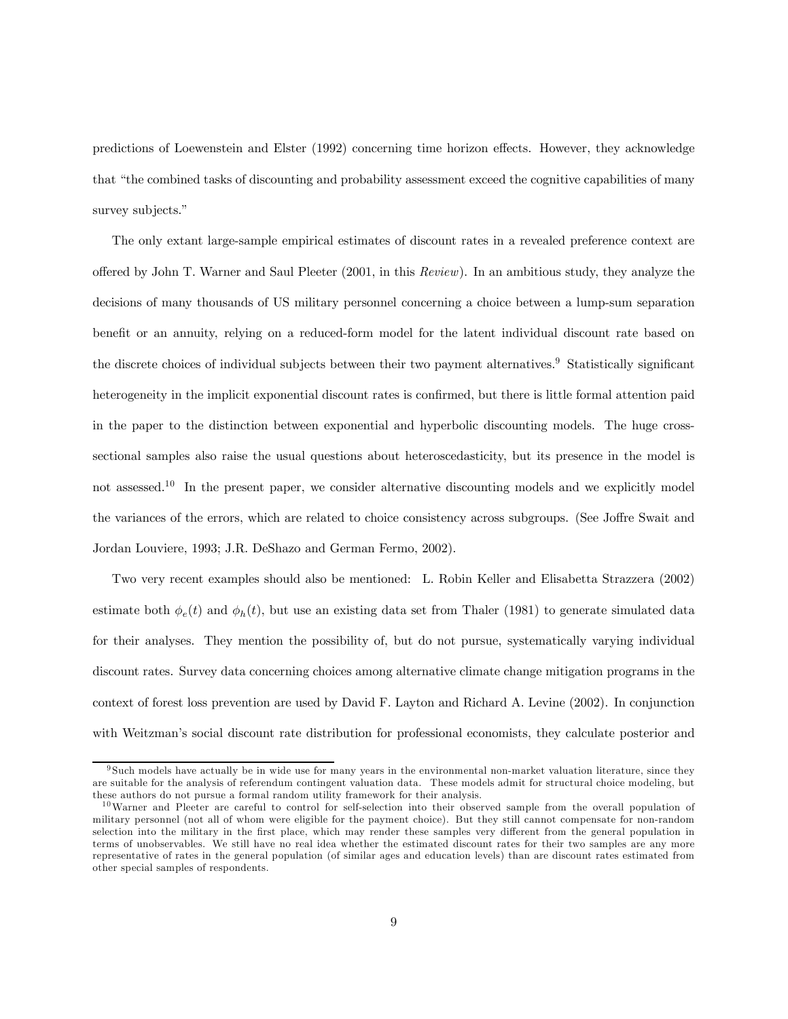predictions of Loewenstein and Elster (1992) concerning time horizon effects. However, they acknowledge that "the combined tasks of discounting and probability assessment exceed the cognitive capabilities of many survey subjects."

The only extant large-sample empirical estimates of discount rates in a revealed preference context are offered by John T. Warner and Saul Pleeter (2001, in this Review). In an ambitious study, they analyze the decisions of many thousands of US military personnel concerning a choice between a lump-sum separation benefit or an annuity, relying on a reduced-form model for the latent individual discount rate based on the discrete choices of individual subjects between their two payment alternatives.<sup>9</sup> Statistically significant heterogeneity in the implicit exponential discount rates is confirmed, but there is little formal attention paid in the paper to the distinction between exponential and hyperbolic discounting models. The huge crosssectional samples also raise the usual questions about heteroscedasticity, but its presence in the model is not assessed.<sup>10</sup> In the present paper, we consider alternative discounting models and we explicitly model the variances of the errors, which are related to choice consistency across subgroups. (See Joffre Swait and Jordan Louviere, 1993; J.R. DeShazo and German Fermo, 2002).

Two very recent examples should also be mentioned: L. Robin Keller and Elisabetta Strazzera (2002) estimate both  $\phi_e(t)$  and  $\phi_h(t)$ , but use an existing data set from Thaler (1981) to generate simulated data for their analyses. They mention the possibility of, but do not pursue, systematically varying individual discount rates. Survey data concerning choices among alternative climate change mitigation programs in the context of forest loss prevention are used by David F. Layton and Richard A. Levine (2002). In conjunction with Weitzman's social discount rate distribution for professional economists, they calculate posterior and

<sup>9</sup> Such models have actually be in wide use for many years in the environmental non-market valuation literature, since they are suitable for the analysis of referendum contingent valuation data. These models admit for structural choice modeling, but these authors do not pursue a formal random utility framework for their analysis.

 $10$ Warner and Pleeter are careful to control for self-selection into their observed sample from the overall population of military personnel (not all of whom were eligible for the payment choice). But they still cannot compensate for non-random selection into the military in the first place, which may render these samples very different from the general population in terms of unobservables. We still have no real idea whether the estimated discount rates for their two samples are any more representative of rates in the general population (of similar ages and education levels) than are discount rates estimated from other special samples of respondents.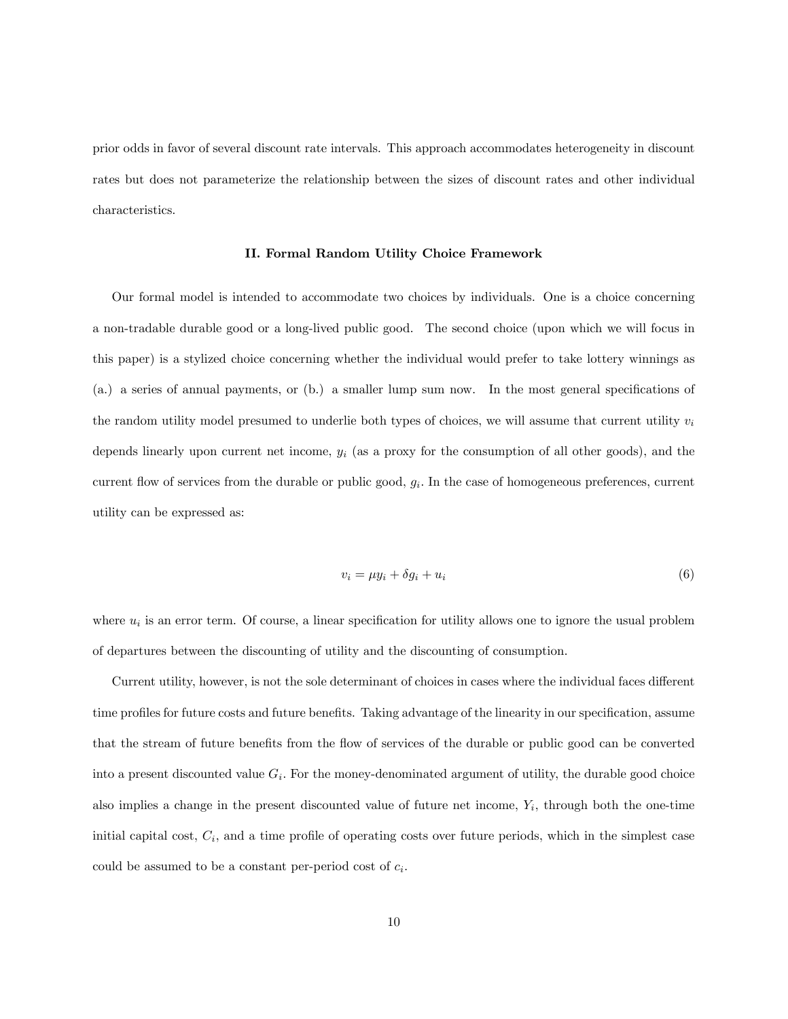prior odds in favor of several discount rate intervals. This approach accommodates heterogeneity in discount rates but does not parameterize the relationship between the sizes of discount rates and other individual characteristics.

#### II. Formal Random Utility Choice Framework

Our formal model is intended to accommodate two choices by individuals. One is a choice concerning a non-tradable durable good or a long-lived public good. The second choice (upon which we will focus in this paper) is a stylized choice concerning whether the individual would prefer to take lottery winnings as (a.) a series of annual payments, or (b.) a smaller lump sum now. In the most general specifications of the random utility model presumed to underlie both types of choices, we will assume that current utility  $v_i$ depends linearly upon current net income,  $y_i$  (as a proxy for the consumption of all other goods), and the current flow of services from the durable or public good,  $g_i$ . In the case of homogeneous preferences, current utility can be expressed as:

$$
v_i = \mu y_i + \delta g_i + u_i \tag{6}
$$

where  $u_i$  is an error term. Of course, a linear specification for utility allows one to ignore the usual problem of departures between the discounting of utility and the discounting of consumption.

Current utility, however, is not the sole determinant of choices in cases where the individual faces different time profiles for future costs and future benefits. Taking advantage of the linearity in our specification, assume that the stream of future benefits from the flow of services of the durable or public good can be converted into a present discounted value  $G_i$ . For the money-denominated argument of utility, the durable good choice also implies a change in the present discounted value of future net income,  $Y_i$ , through both the one-time initial capital cost,  $C_i$ , and a time profile of operating costs over future periods, which in the simplest case could be assumed to be a constant per-period cost of  $c_i$ .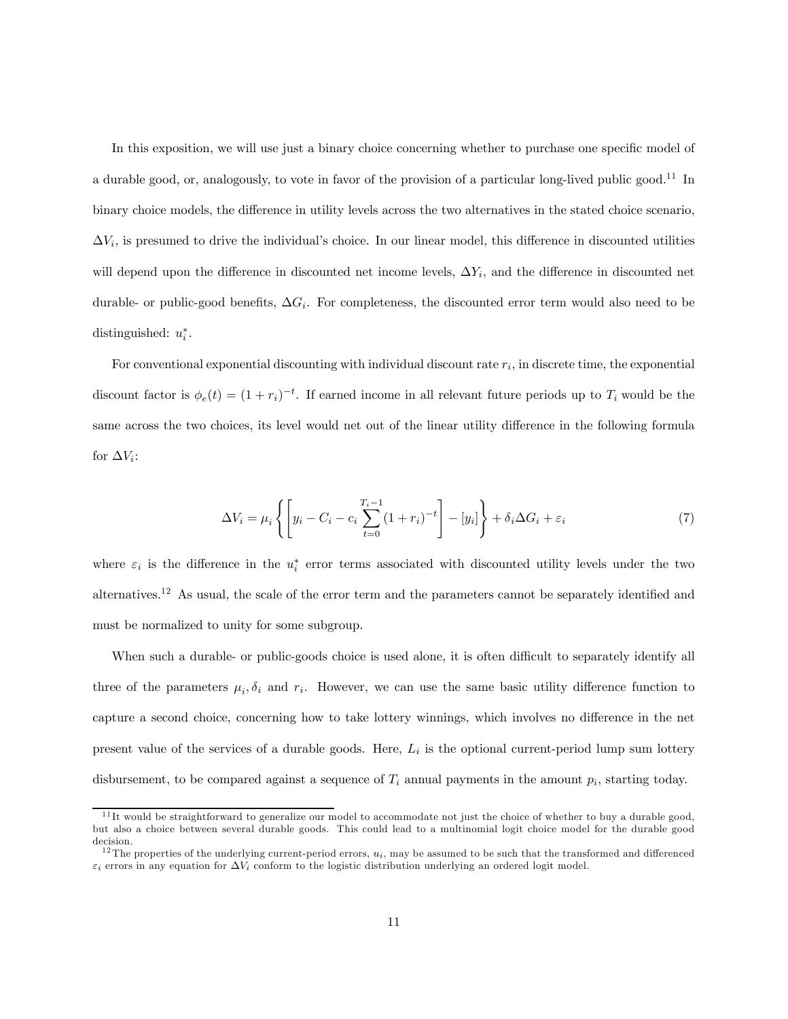In this exposition, we will use just a binary choice concerning whether to purchase one specific model of a durable good, or, analogously, to vote in favor of the provision of a particular long-lived public good.<sup>11</sup> In binary choice models, the difference in utility levels across the two alternatives in the stated choice scenario,  $\Delta V_i$ , is presumed to drive the individual's choice. In our linear model, this difference in discounted utilities will depend upon the difference in discounted net income levels,  $\Delta Y_i$ , and the difference in discounted net durable- or public-good benefits,  $\Delta G_i$ . For completeness, the discounted error term would also need to be distinguished:  $u_i^*$ .

For conventional exponential discounting with individual discount rate  $r_i$ , in discrete time, the exponential discount factor is  $\phi_e(t) = (1 + r_i)^{-t}$ . If earned income in all relevant future periods up to  $T_i$  would be the same across the two choices, its level would net out of the linear utility difference in the following formula for  $\Delta V_i$ :

$$
\Delta V_i = \mu_i \left\{ \left[ y_i - C_i - c_i \sum_{t=0}^{T_i - 1} (1 + r_i)^{-t} \right] - [y_i] \right\} + \delta_i \Delta G_i + \varepsilon_i \tag{7}
$$

where  $\varepsilon_i$  is the difference in the  $u_i^*$  error terms associated with discounted utility levels under the two alternatives.12 As usual, the scale of the error term and the parameters cannot be separately identified and must be normalized to unity for some subgroup.

When such a durable- or public-goods choice is used alone, it is often difficult to separately identify all three of the parameters  $\mu_i, \delta_i$  and  $r_i$ . However, we can use the same basic utility difference function to capture a second choice, concerning how to take lottery winnings, which involves no difference in the net present value of the services of a durable goods. Here,  $L_i$  is the optional current-period lump sum lottery disbursement, to be compared against a sequence of  $T_i$  annual payments in the amount  $p_i$ , starting today.

 $11$ It would be straightforward to generalize our model to accommodate not just the choice of whether to buy a durable good. but also a choice between several durable goods. This could lead to a multinomial logit choice model for the durable good decision.

<sup>&</sup>lt;sup>12</sup>The properties of the underlying current-period errors,  $u_i$ , may be assumed to be such that the transformed and differenced  $\varepsilon_i$  errors in any equation for  $\Delta V_i$  conform to the logistic distribution underlying an ordered logit model.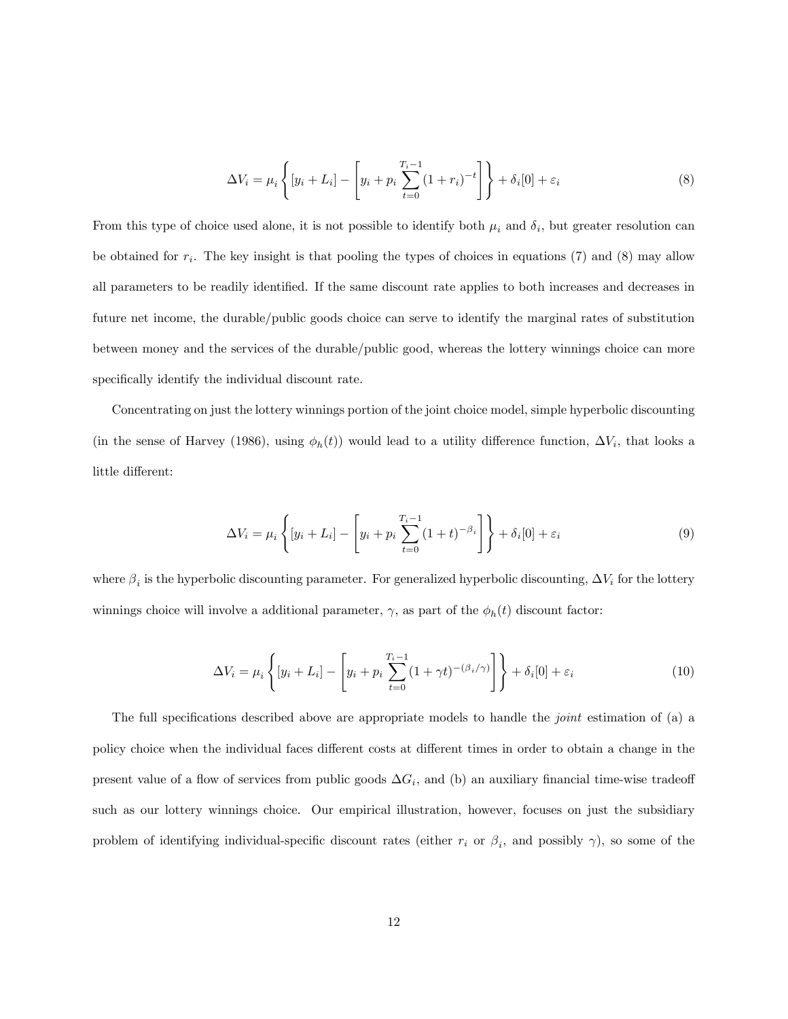$$
\Delta V_i = \mu_i \left\{ [y_i + L_i] - \left[ y_i + p_i \sum_{t=0}^{T_i - 1} (1 + r_i)^{-t} \right] \right\} + \delta_i [0] + \varepsilon_i
$$
\n(8)

From this type of choice used alone, it is not possible to identify both  $\mu_i$  and  $\delta_i$ , but greater resolution can be obtained for  $r_i$ . The key insight is that pooling the types of choices in equations (7) and (8) may allow all parameters to be readily identified. If the same discount rate applies to both increases and decreases in future net income, the durable/public goods choice can serve to identify the marginal rates of substitution between money and the services of the durable/public good, whereas the lottery winnings choice can more specifically identify the individual discount rate.

Concentrating on just the lottery winnings portion of the joint choice model, simple hyperbolic discounting (in the sense of Harvey (1986), using  $\phi_h(t)$ ) would lead to a utility difference function,  $\Delta V_i$ , that looks a little different:

$$
\Delta V_i = \mu_i \left\{ [y_i + L_i] - \left[ y_i + p_i \sum_{t=0}^{T_i - 1} (1+t)^{-\beta_i} \right] \right\} + \delta_i [0] + \varepsilon_i \tag{9}
$$

where  $\beta_i$  is the hyperbolic discounting parameter. For generalized hyperbolic discounting,  $\Delta V_i$  for the lottery winnings choice will involve a additional parameter,  $\gamma$ , as part of the  $\phi_h(t)$  discount factor:

$$
\Delta V_i = \mu_i \left\{ [y_i + L_i] - \left[ y_i + p_i \sum_{t=0}^{T_i - 1} (1 + \gamma t)^{-(\beta_i/\gamma)} \right] \right\} + \delta_i[0] + \varepsilon_i
$$
\n(10)

The full specifications described above are appropriate models to handle the *joint* estimation of (a) a policy choice when the individual faces different costs at different times in order to obtain a change in the present value of a flow of services from public goods  $\Delta G_i$ , and (b) an auxiliary financial time-wise tradeoff such as our lottery winnings choice. Our empirical illustration, however, focuses on just the subsidiary problem of identifying individual-specific discount rates (either  $r_i$  or  $\beta_i$ , and possibly  $\gamma$ ), so some of the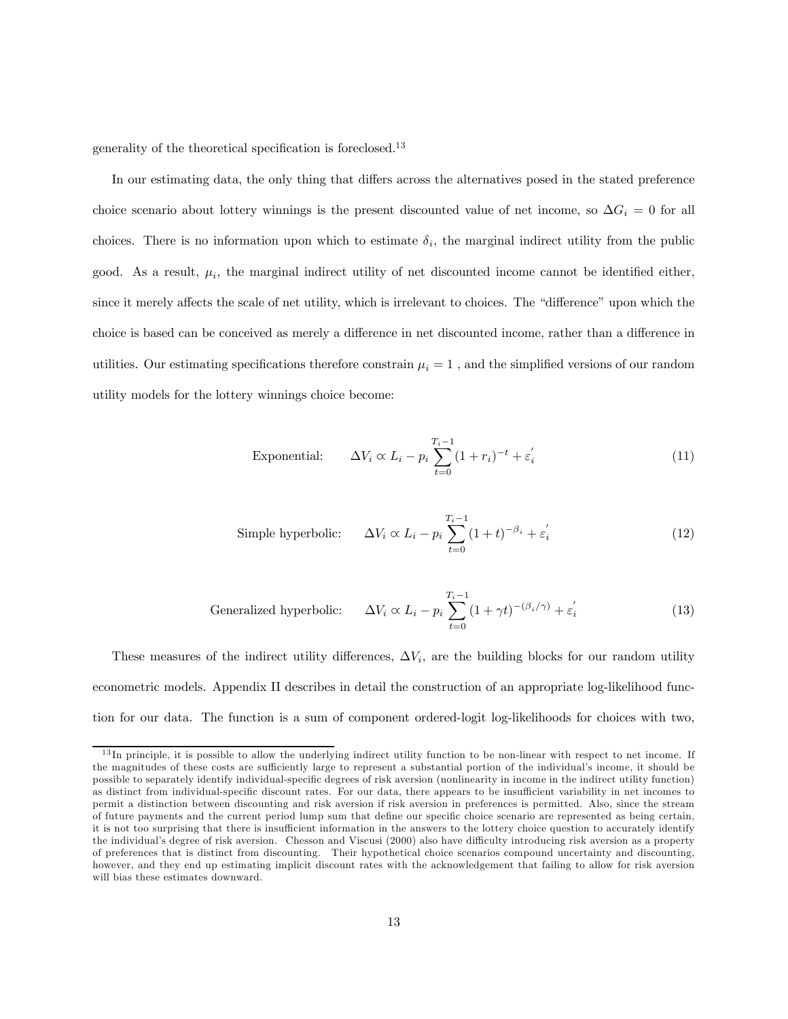generality of the theoretical specification is foreclosed.13

In our estimating data, the only thing that differs across the alternatives posed in the stated preference choice scenario about lottery winnings is the present discounted value of net income, so  $\Delta G_i = 0$  for all choices. There is no information upon which to estimate  $\delta_i$ , the marginal indirect utility from the public good. As a result,  $\mu_i$ , the marginal indirect utility of net discounted income cannot be identified either, since it merely affects the scale of net utility, which is irrelevant to choices. The "difference" upon which the choice is based can be conceived as merely a difference in net discounted income, rather than a difference in utilities. Our estimating specifications therefore constrain  $\mu_i = 1$ , and the simplified versions of our random utility models for the lottery winnings choice become:

Exponential: 
$$
\Delta V_i \propto L_i - p_i \sum_{t=0}^{T_i - 1} (1 + r_i)^{-t} + \varepsilon'_i
$$
 (11)

Simple hyperbolic: 
$$
\Delta V_i \propto L_i - p_i \sum_{t=0}^{T_i - 1} (1 + t)^{-\beta_i} + \varepsilon_i'
$$
 (12)

Generalized hyperbolic: 
$$
\Delta V_i \propto L_i - p_i \sum_{t=0}^{T_i - 1} (1 + \gamma t)^{-(\beta_i/\gamma)} + \varepsilon_i' \tag{13}
$$

These measures of the indirect utility differences,  $\Delta V_i$ , are the building blocks for our random utility econometric models. Appendix II describes in detail the construction of an appropriate log-likelihood function for our data. The function is a sum of component ordered-logit log-likelihoods for choices with two,

<sup>&</sup>lt;sup>13</sup>In principle, it is possible to allow the underlying indirect utility function to be non-linear with respect to net income. If the magnitudes of these costs are sufficiently large to represent a substantial portion of the individual's income, it should be possible to separately identify individual-specific degrees of risk aversion (nonlinearity in income in the indirect utility function) as distinct from individual-specific discount rates. For our data, there appears to be insufficient variability in net incomes to permit a distinction between discounting and risk aversion if risk aversion in preferences is permitted. Also, since the stream of future payments and the current period lump sum that define our specific choice scenario are represented as being certain, it is not too surprising that there is insufficient information in the answers to the lottery choice question to accurately identify the individual's degree of risk aversion. Chesson and Viscusi (2000) also have difficulty introducing risk aversion as a property of preferences that is distinct from discounting. Their hypothetical choice scenarios compound uncertainty and discounting, however, and they end up estimating implicit discount rates with the acknowledgement that failing to allow for risk aversion will bias these estimates downward.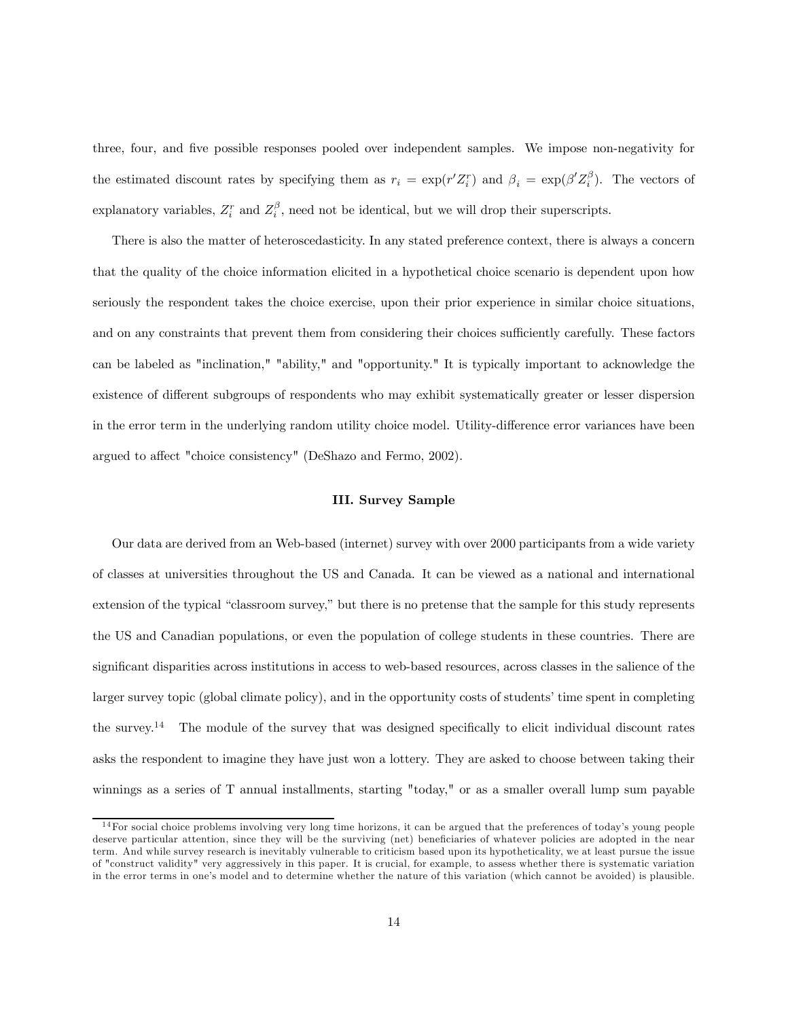three, four, and five possible responses pooled over independent samples. We impose non-negativity for the estimated discount rates by specifying them as  $r_i = \exp(r'Z_i^r)$  and  $\beta_i = \exp(\beta'Z_i^{\beta})$ . The vectors of explanatory variables,  $Z_i^r$  and  $Z_i^{\beta}$ , need not be identical, but we will drop their superscripts.

There is also the matter of heteroscedasticity. In any stated preference context, there is always a concern that the quality of the choice information elicited in a hypothetical choice scenario is dependent upon how seriously the respondent takes the choice exercise, upon their prior experience in similar choice situations, and on any constraints that prevent them from considering their choices sufficiently carefully. These factors can be labeled as "inclination," "ability," and "opportunity." It is typically important to acknowledge the existence of different subgroups of respondents who may exhibit systematically greater or lesser dispersion in the error term in the underlying random utility choice model. Utility-difference error variances have been argued to affect "choice consistency" (DeShazo and Fermo, 2002).

# III. Survey Sample

Our data are derived from an Web-based (internet) survey with over 2000 participants from a wide variety of classes at universities throughout the US and Canada. It can be viewed as a national and international extension of the typical "classroom survey," but there is no pretense that the sample for this study represents the US and Canadian populations, or even the population of college students in these countries. There are significant disparities across institutions in access to web-based resources, across classes in the salience of the larger survey topic (global climate policy), and in the opportunity costs of students' time spent in completing the survey.14 The module of the survey that was designed specifically to elicit individual discount rates asks the respondent to imagine they have just won a lottery. They are asked to choose between taking their winnings as a series of T annual installments, starting "today," or as a smaller overall lump sum payable

<sup>&</sup>lt;sup>14</sup>For social choice problems involving very long time horizons, it can be argued that the preferences of today's young people deserve particular attention, since they will be the surviving (net) beneficiaries of whatever policies are adopted in the near term. And while survey research is inevitably vulnerable to criticism based upon its hypotheticality, we at least pursue the issue of "construct validity" very aggressively in this paper. It is crucial, for example, to assess whether there is systematic variation in the error terms in one's model and to determine whether the nature of this variation (which cannot be avoided) is plausible.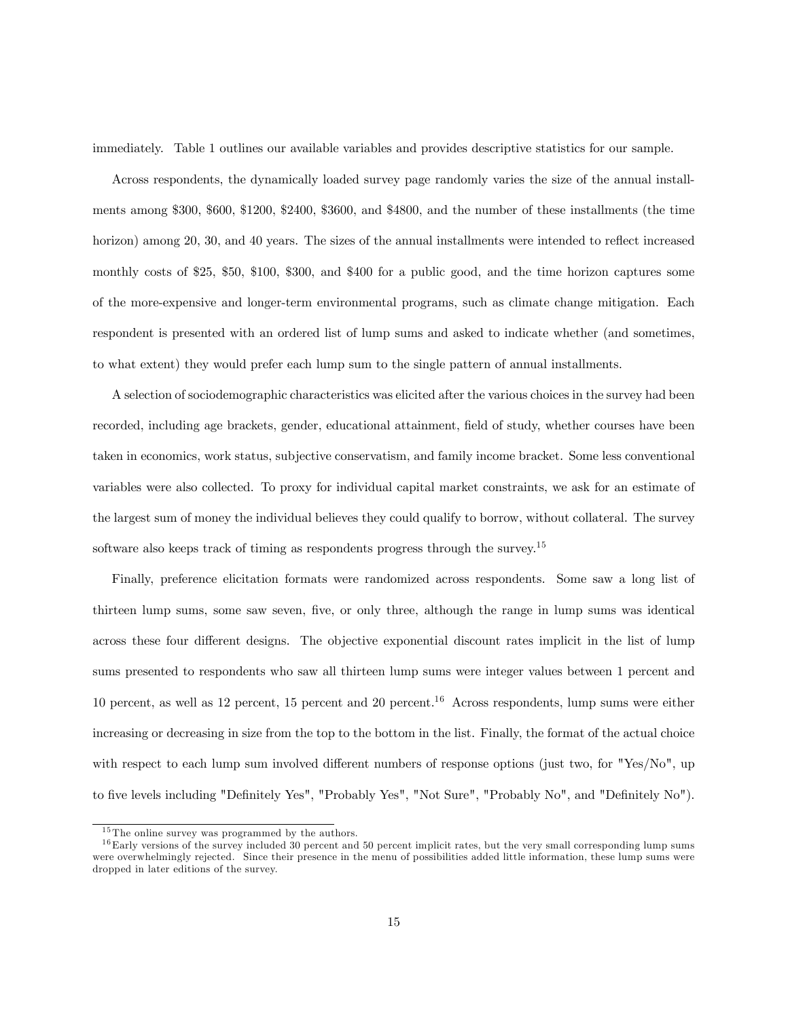immediately. Table 1 outlines our available variables and provides descriptive statistics for our sample.

Across respondents, the dynamically loaded survey page randomly varies the size of the annual installments among \$300, \$600, \$1200, \$2400, \$3600, and \$4800, and the number of these installments (the time horizon) among 20, 30, and 40 years. The sizes of the annual installments were intended to reflect increased monthly costs of \$25, \$50, \$100, \$300, and \$400 for a public good, and the time horizon captures some of the more-expensive and longer-term environmental programs, such as climate change mitigation. Each respondent is presented with an ordered list of lump sums and asked to indicate whether (and sometimes, to what extent) they would prefer each lump sum to the single pattern of annual installments.

A selection of sociodemographic characteristics was elicited after the various choices in the survey had been recorded, including age brackets, gender, educational attainment, field of study, whether courses have been taken in economics, work status, subjective conservatism, and family income bracket. Some less conventional variables were also collected. To proxy for individual capital market constraints, we ask for an estimate of the largest sum of money the individual believes they could qualify to borrow, without collateral. The survey software also keeps track of timing as respondents progress through the survey.<sup>15</sup>

Finally, preference elicitation formats were randomized across respondents. Some saw a long list of thirteen lump sums, some saw seven, five, or only three, although the range in lump sums was identical across these four different designs. The objective exponential discount rates implicit in the list of lump sums presented to respondents who saw all thirteen lump sums were integer values between 1 percent and 10 percent, as well as 12 percent, 15 percent and 20 percent.<sup>16</sup> Across respondents, lump sums were either increasing or decreasing in size from the top to the bottom in the list. Finally, the format of the actual choice with respect to each lump sum involved different numbers of response options (just two, for "Yes/No", up to five levels including "Definitely Yes", "Probably Yes", "Not Sure", "Probably No", and "Definitely No").

 $15$ The online survey was programmed by the authors.

 $16$ Early versions of the survey included 30 percent and 50 percent implicit rates, but the very small corresponding lump sums were overwhelmingly rejected. Since their presence in the menu of possibilities added little information, these lump sums were dropped in later editions of the survey.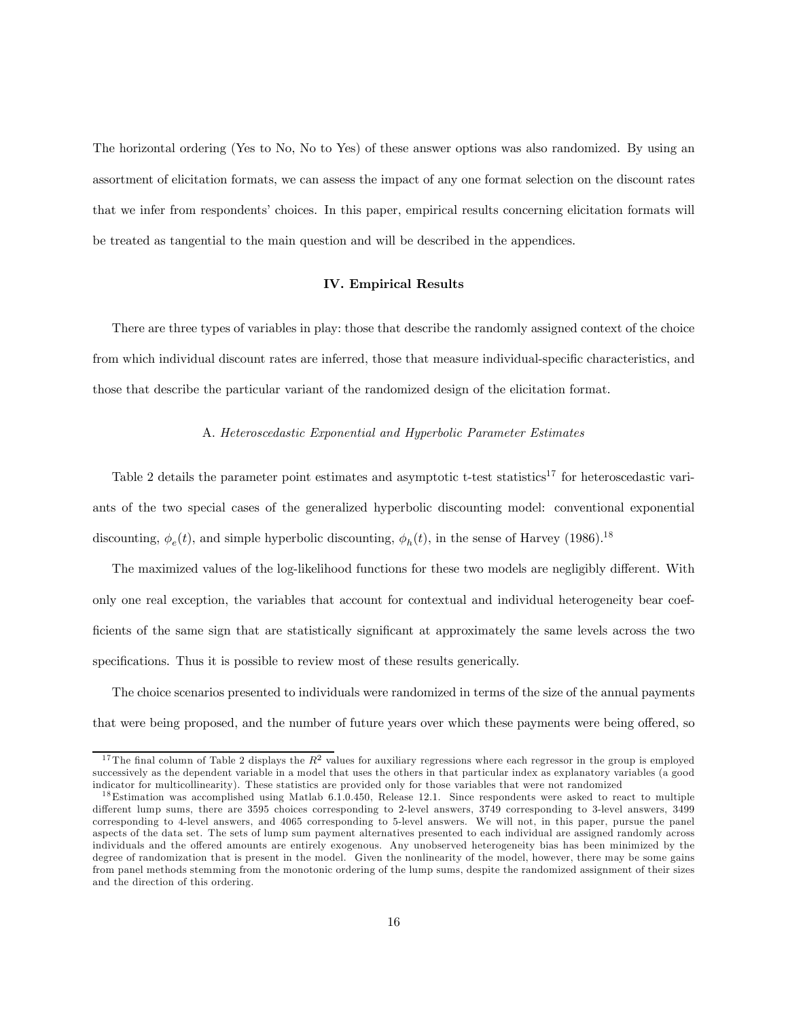The horizontal ordering (Yes to No, No to Yes) of these answer options was also randomized. By using an assortment of elicitation formats, we can assess the impact of any one format selection on the discount rates that we infer from respondents' choices. In this paper, empirical results concerning elicitation formats will be treated as tangential to the main question and will be described in the appendices.

#### IV. Empirical Results

There are three types of variables in play: those that describe the randomly assigned context of the choice from which individual discount rates are inferred, those that measure individual-specific characteristics, and those that describe the particular variant of the randomized design of the elicitation format.

#### A. Heteroscedastic Exponential and Hyperbolic Parameter Estimates

Table 2 details the parameter point estimates and asymptotic t-test statistics<sup>17</sup> for heteroscedastic variants of the two special cases of the generalized hyperbolic discounting model: conventional exponential discounting,  $\phi_e(t)$ , and simple hyperbolic discounting,  $\phi_h(t)$ , in the sense of Harvey (1986).<sup>18</sup>

The maximized values of the log-likelihood functions for these two models are negligibly different. With only one real exception, the variables that account for contextual and individual heterogeneity bear coefficients of the same sign that are statistically significant at approximately the same levels across the two specifications. Thus it is possible to review most of these results generically.

The choice scenarios presented to individuals were randomized in terms of the size of the annual payments that were being proposed, and the number of future years over which these payments were being offered, so

<sup>&</sup>lt;sup>17</sup>The final column of Table 2 displays the  $R^2$  values for auxiliary regressions where each regressor in the group is employed successively as the dependent variable in a model that uses the others in that particular index as explanatory variables (a good indicator for multicollinearity). These statistics are provided only for those variables that were not randomized

 $18$ Estimation was accomplished using Matlab 6.1.0.450, Release 12.1. Since respondents were asked to react to multiple different lump sums, there are 3595 choices corresponding to 2-level answers, 3749 corresponding to 3-level answers, 3499 corresponding to 4-level answers, and 4065 corresponding to 5-level answers. We will not, in this paper, pursue the panel aspects of the data set. The sets of lump sum payment alternatives presented to each individual are assigned randomly across individuals and the offered amounts are entirely exogenous. Any unobserved heterogeneity bias has been minimized by the degree of randomization that is present in the model. Given the nonlinearity of the model, however, there may be some gains from panel methods stemming from the monotonic ordering of the lump sums, despite the randomized assignment of their sizes and the direction of this ordering.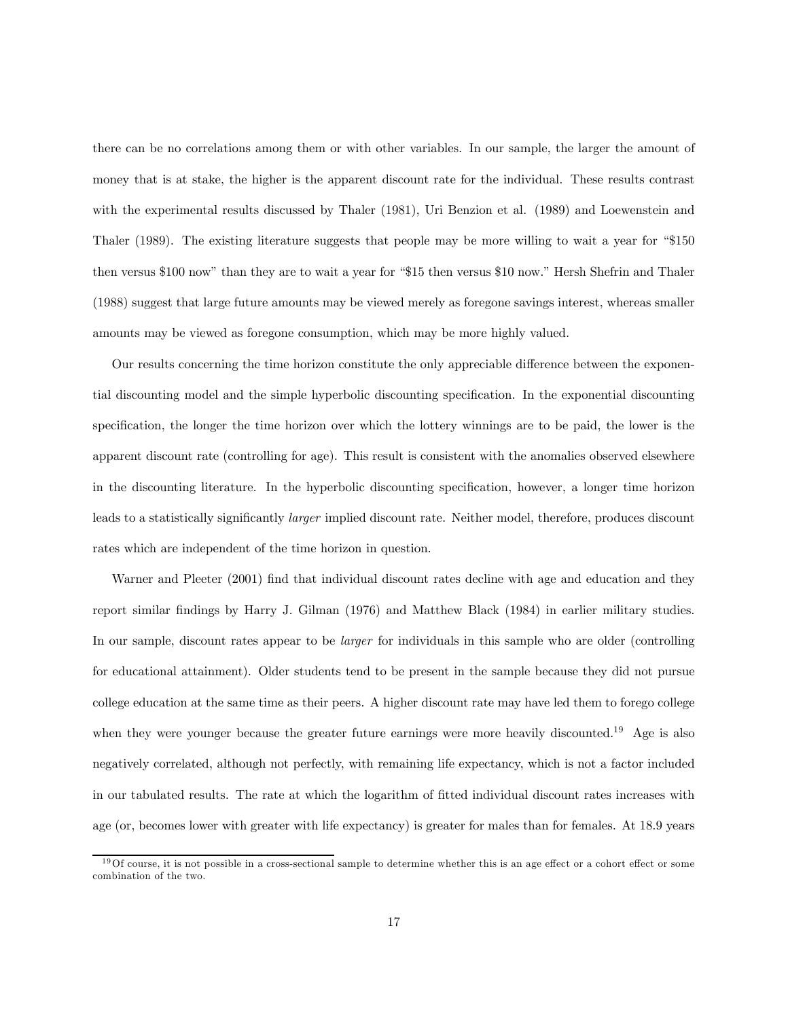there can be no correlations among them or with other variables. In our sample, the larger the amount of money that is at stake, the higher is the apparent discount rate for the individual. These results contrast with the experimental results discussed by Thaler (1981), Uri Benzion et al. (1989) and Loewenstein and Thaler (1989). The existing literature suggests that people may be more willing to wait a year for "\$150 then versus \$100 now" than they are to wait a year for "\$15 then versus \$10 now." Hersh Shefrin and Thaler (1988) suggest that large future amounts may be viewed merely as foregone savings interest, whereas smaller amounts may be viewed as foregone consumption, which may be more highly valued.

Our results concerning the time horizon constitute the only appreciable difference between the exponential discounting model and the simple hyperbolic discounting specification. In the exponential discounting specification, the longer the time horizon over which the lottery winnings are to be paid, the lower is the apparent discount rate (controlling for age). This result is consistent with the anomalies observed elsewhere in the discounting literature. In the hyperbolic discounting specification, however, a longer time horizon leads to a statistically significantly larger implied discount rate. Neither model, therefore, produces discount rates which are independent of the time horizon in question.

Warner and Pleeter (2001) find that individual discount rates decline with age and education and they report similar findings by Harry J. Gilman (1976) and Matthew Black (1984) in earlier military studies. In our sample, discount rates appear to be *larger* for individuals in this sample who are older (controlling for educational attainment). Older students tend to be present in the sample because they did not pursue college education at the same time as their peers. A higher discount rate may have led them to forego college when they were younger because the greater future earnings were more heavily discounted.<sup>19</sup> Age is also negatively correlated, although not perfectly, with remaining life expectancy, which is not a factor included in our tabulated results. The rate at which the logarithm of fitted individual discount rates increases with age (or, becomes lower with greater with life expectancy) is greater for males than for females. At 18.9 years

 $19$  Of course, it is not possible in a cross-sectional sample to determine whether this is an age effect or a cohort effect or some combination of the two.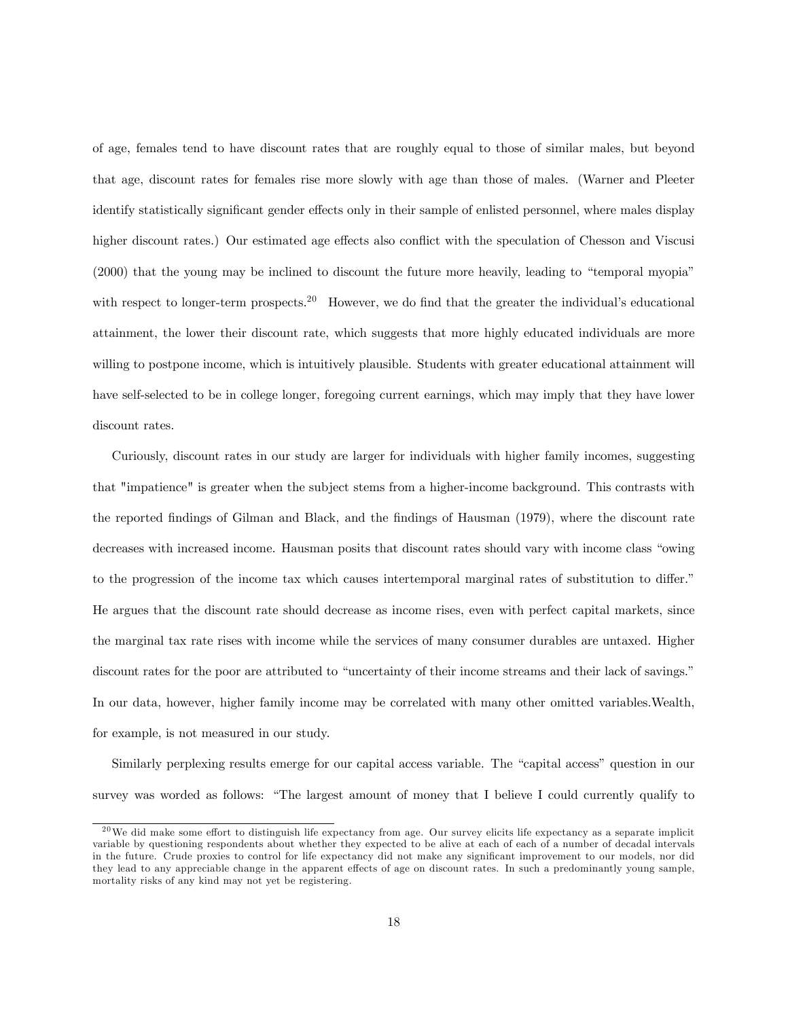of age, females tend to have discount rates that are roughly equal to those of similar males, but beyond that age, discount rates for females rise more slowly with age than those of males. (Warner and Pleeter identify statistically significant gender effects only in their sample of enlisted personnel, where males display higher discount rates.) Our estimated age effects also conflict with the speculation of Chesson and Viscusi (2000) that the young may be inclined to discount the future more heavily, leading to "temporal myopia" with respect to longer-term prospects.<sup>20</sup> However, we do find that the greater the individual's educational attainment, the lower their discount rate, which suggests that more highly educated individuals are more willing to postpone income, which is intuitively plausible. Students with greater educational attainment will have self-selected to be in college longer, foregoing current earnings, which may imply that they have lower discount rates.

Curiously, discount rates in our study are larger for individuals with higher family incomes, suggesting that "impatience" is greater when the subject stems from a higher-income background. This contrasts with the reported findings of Gilman and Black, and the findings of Hausman (1979), where the discount rate decreases with increased income. Hausman posits that discount rates should vary with income class "owing to the progression of the income tax which causes intertemporal marginal rates of substitution to differ." He argues that the discount rate should decrease as income rises, even with perfect capital markets, since the marginal tax rate rises with income while the services of many consumer durables are untaxed. Higher discount rates for the poor are attributed to "uncertainty of their income streams and their lack of savings." In our data, however, higher family income may be correlated with many other omitted variables.Wealth, for example, is not measured in our study.

Similarly perplexing results emerge for our capital access variable. The "capital access" question in our survey was worded as follows: "The largest amount of money that I believe I could currently qualify to

 $20$ We did make some effort to distinguish life expectancy from age. Our survey elicits life expectancy as a separate implicit variable by questioning respondents about whether they expected to be alive at each of each of a number of decadal intervals in the future. Crude proxies to control for life expectancy did not make any significant improvement to our models, nor did they lead to any appreciable change in the apparent effects of age on discount rates. In such a predominantly young sample, mortality risks of any kind may not yet be registering.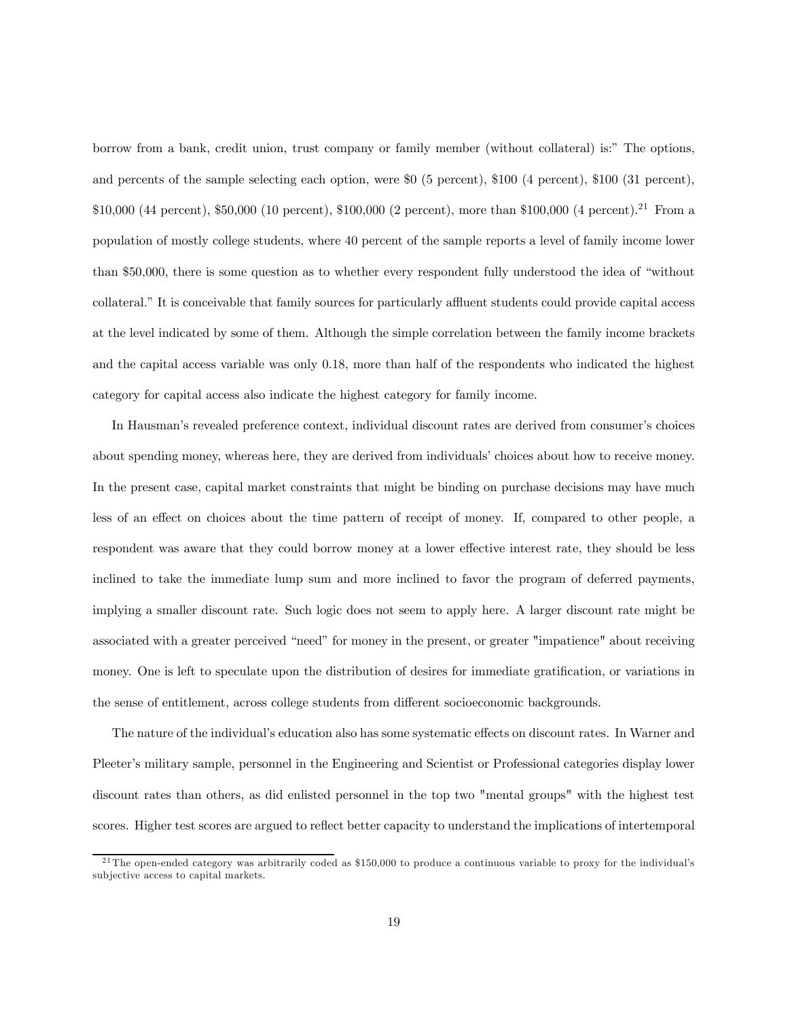borrow from a bank, credit union, trust company or family member (without collateral) is:" The options, and percents of the sample selecting each option, were \$0 (5 percent), \$100 (4 percent), \$100 (31 percent), \$10,000 (44 percent), \$50,000 (10 percent), \$100,000 (2 percent), more than \$100,000 (4 percent).<sup>21</sup> From a population of mostly college students, where 40 percent of the sample reports a level of family income lower than \$50,000, there is some question as to whether every respondent fully understood the idea of "without collateral." It is conceivable that family sources for particularly affluent students could provide capital access at the level indicated by some of them. Although the simple correlation between the family income brackets and the capital access variable was only 0.18, more than half of the respondents who indicated the highest category for capital access also indicate the highest category for family income.

In Hausman's revealed preference context, individual discount rates are derived from consumer's choices about spending money, whereas here, they are derived from individuals' choices about how to receive money. In the present case, capital market constraints that might be binding on purchase decisions may have much less of an effect on choices about the time pattern of receipt of money. If, compared to other people, a respondent was aware that they could borrow money at a lower effective interest rate, they should be less inclined to take the immediate lump sum and more inclined to favor the program of deferred payments, implying a smaller discount rate. Such logic does not seem to apply here. A larger discount rate might be associated with a greater perceived "need" for money in the present, or greater "impatience" about receiving money. One is left to speculate upon the distribution of desires for immediate gratification, or variations in the sense of entitlement, across college students from different socioeconomic backgrounds.

The nature of the individual's education also has some systematic effects on discount rates. In Warner and Pleeter's military sample, personnel in the Engineering and Scientist or Professional categories display lower discount rates than others, as did enlisted personnel in the top two "mental groups" with the highest test scores. Higher test scores are argued to reflect better capacity to understand the implications of intertemporal

<sup>&</sup>lt;sup>21</sup>The open-ended category was arbitrarily coded as  $$150,000$  to produce a continuous variable to proxy for the individual's sub jective access to capital markets.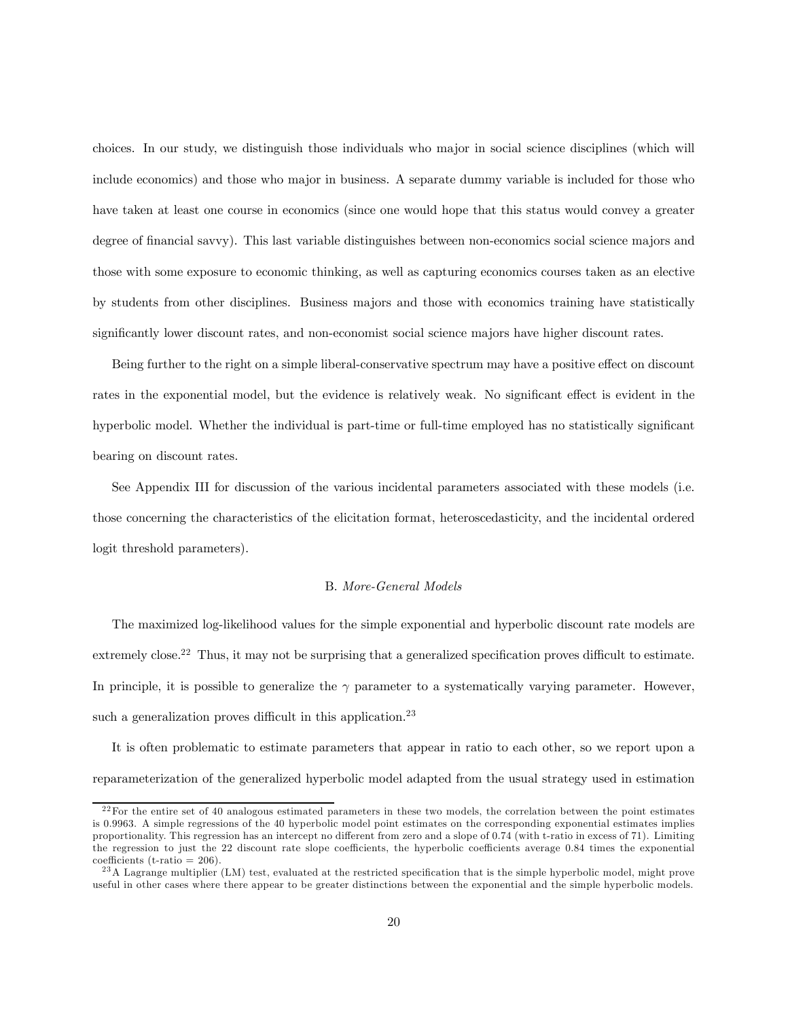choices. In our study, we distinguish those individuals who major in social science disciplines (which will include economics) and those who major in business. A separate dummy variable is included for those who have taken at least one course in economics (since one would hope that this status would convey a greater degree of financial savvy). This last variable distinguishes between non-economics social science majors and those with some exposure to economic thinking, as well as capturing economics courses taken as an elective by students from other disciplines. Business majors and those with economics training have statistically significantly lower discount rates, and non-economist social science majors have higher discount rates.

Being further to the right on a simple liberal-conservative spectrum may have a positive effect on discount rates in the exponential model, but the evidence is relatively weak. No significant effect is evident in the hyperbolic model. Whether the individual is part-time or full-time employed has no statistically significant bearing on discount rates.

See Appendix III for discussion of the various incidental parameters associated with these models (i.e. those concerning the characteristics of the elicitation format, heteroscedasticity, and the incidental ordered logit threshold parameters).

#### B. More-General Models

The maximized log-likelihood values for the simple exponential and hyperbolic discount rate models are extremely close.<sup>22</sup> Thus, it may not be surprising that a generalized specification proves difficult to estimate. In principle, it is possible to generalize the  $\gamma$  parameter to a systematically varying parameter. However, such a generalization proves difficult in this application.<sup>23</sup>

It is often problematic to estimate parameters that appear in ratio to each other, so we report upon a reparameterization of the generalized hyperbolic model adapted from the usual strategy used in estimation

 $^{22}$ For the entire set of 40 analogous estimated parameters in these two models, the correlation between the point estimates is 0.9963. A simple regressions of the 40 hyperbolic model point estimates on the corresponding exponential estimates implies proportionality. This regression has an intercept no different from zero and a slope of 0.74 (with t-ratio in excess of 71). Limiting the regression to just the 22 discount rate slope coefficients, the hyperbolic coefficients average 0.84 times the exponential coefficients (t-ratio =  $206$ ).

<sup>&</sup>lt;sup>23</sup>A Lagrange multiplier (LM) test, evaluated at the restricted specification that is the simple hyperbolic model, might prove useful in other cases where there appear to be greater distinctions between the exponential and the simple hyperbolic models.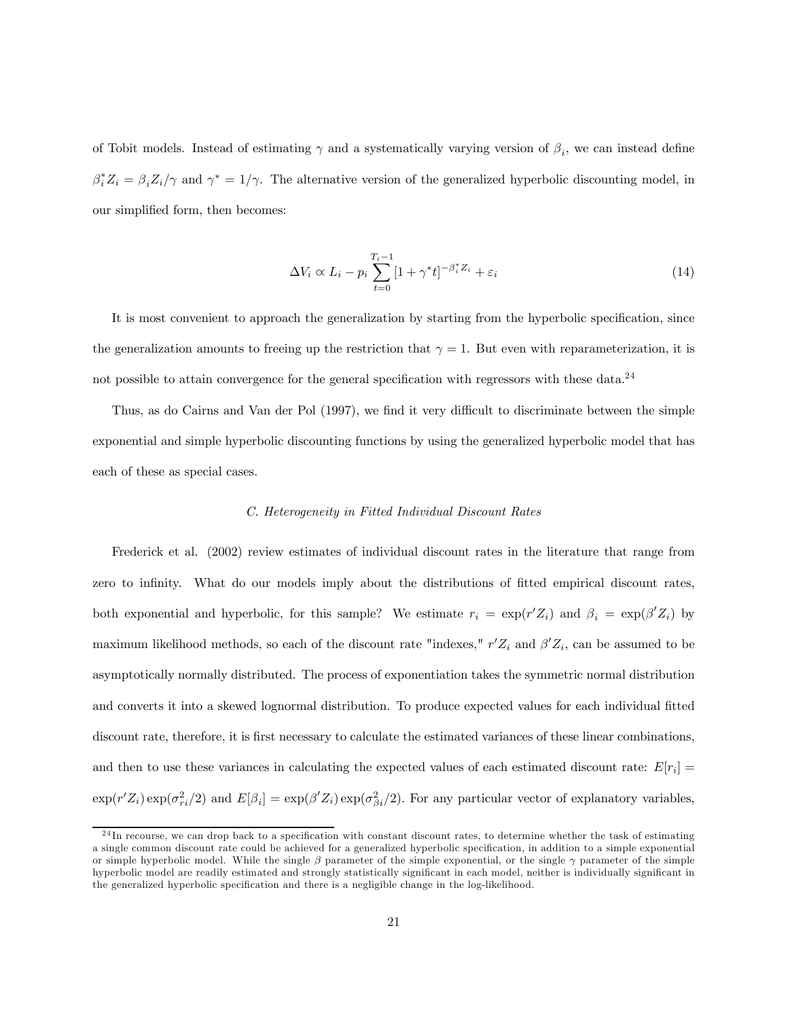of Tobit models. Instead of estimating  $\gamma$  and a systematically varying version of  $\beta_i$ , we can instead define  $\beta_i^* Z_i = \beta_i Z_i/\gamma$  and  $\gamma^* = 1/\gamma$ . The alternative version of the generalized hyperbolic discounting model, in our simplified form, then becomes:

$$
\Delta V_i \propto L_i - p_i \sum_{t=0}^{T_i - 1} [1 + \gamma^* t]^{-\beta_i^* Z_i} + \varepsilon_i
$$
\n(14)

It is most convenient to approach the generalization by starting from the hyperbolic specification, since the generalization amounts to freeing up the restriction that  $\gamma = 1$ . But even with reparameterization, it is not possible to attain convergence for the general specification with regressors with these data.<sup>24</sup>

Thus, as do Cairns and Van der Pol (1997), we find it very difficult to discriminate between the simple exponential and simple hyperbolic discounting functions by using the generalized hyperbolic model that has each of these as special cases.

#### C. Heterogeneity in Fitted Individual Discount Rates

Frederick et al. (2002) review estimates of individual discount rates in the literature that range from zero to infinity. What do our models imply about the distributions of fitted empirical discount rates, both exponential and hyperbolic, for this sample? We estimate  $r_i = \exp(r'Z_i)$  and  $\beta_i = \exp(\beta'Z_i)$  by maximum likelihood methods, so each of the discount rate "indexes,"  $r'Z_i$  and  $\beta'Z_i$ , can be assumed to be asymptotically normally distributed. The process of exponentiation takes the symmetric normal distribution and converts it into a skewed lognormal distribution. To produce expected values for each individual fitted discount rate, therefore, it is first necessary to calculate the estimated variances of these linear combinations, and then to use these variances in calculating the expected values of each estimated discount rate:  $E[r_i] =$  $\exp(r'Z_i)\exp(\sigma_{ri}^2/2)$  and  $E[\beta_i] = \exp(\beta'Z_i)\exp(\sigma_{\beta_i}^2/2)$ . For any particular vector of explanatory variables,

 $^{24}$ In recourse, we can drop back to a specification with constant discount rates, to determine whether the task of estimating a single common discount rate could be achieved for a generalized hyperbolic specification, in addition to a simple exponential or simple hyperbolic model. While the single  $\beta$  parameter of the simple exponential, or the single  $\gamma$  parameter of the simple hyperbolic model are readily estimated and strongly statistically significant in each model, neither is individually significant in the generalized hyperbolic specification and there is a negligible change in the log-likelihood.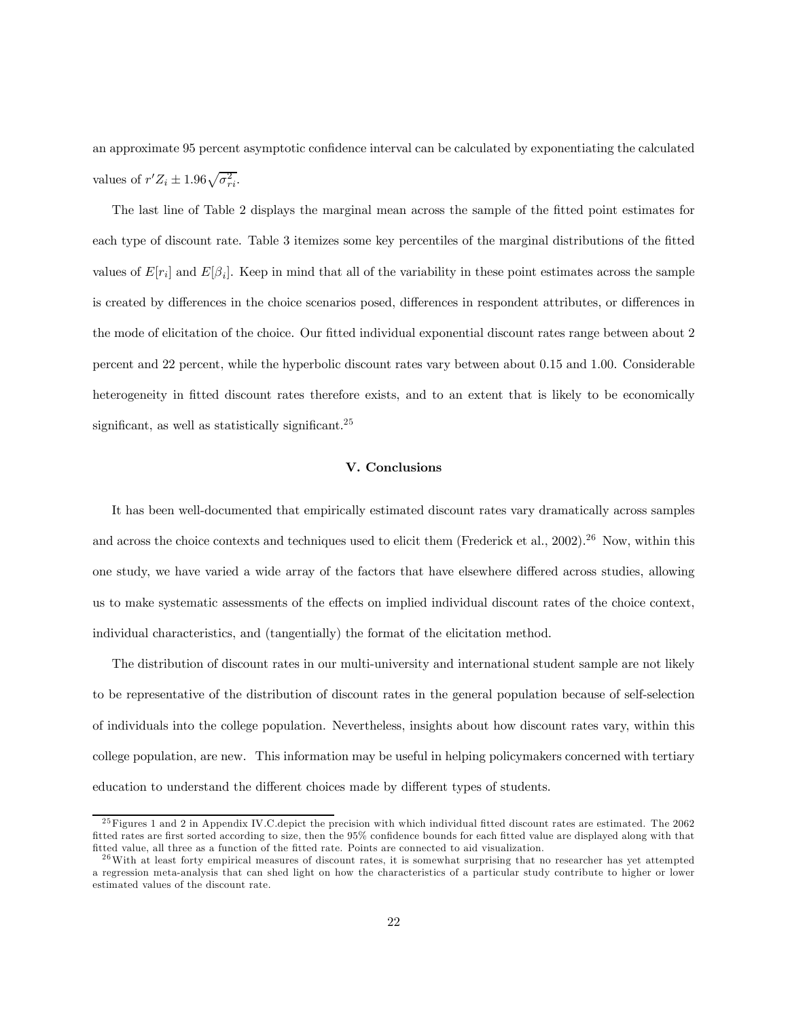an approximate 95 percent asymptotic confidence interval can be calculated by exponentiating the calculated values of  $r'Z_i \pm 1.96\sqrt{\sigma_{ri}^2}$ .

The last line of Table 2 displays the marginal mean across the sample of the fitted point estimates for each type of discount rate. Table 3 itemizes some key percentiles of the marginal distributions of the fitted values of  $E[r_i]$  and  $E[\beta_i]$ . Keep in mind that all of the variability in these point estimates across the sample is created by differences in the choice scenarios posed, differences in respondent attributes, or differences in the mode of elicitation of the choice. Our fitted individual exponential discount rates range between about 2 percent and 22 percent, while the hyperbolic discount rates vary between about 0.15 and 1.00. Considerable heterogeneity in fitted discount rates therefore exists, and to an extent that is likely to be economically significant, as well as statistically significant. $^{25}$ 

# V. Conclusions

It has been well-documented that empirically estimated discount rates vary dramatically across samples and across the choice contexts and techniques used to elicit them (Frederick et al., 2002).<sup>26</sup> Now, within this one study, we have varied a wide array of the factors that have elsewhere differed across studies, allowing us to make systematic assessments of the effects on implied individual discount rates of the choice context, individual characteristics, and (tangentially) the format of the elicitation method.

The distribution of discount rates in our multi-university and international student sample are not likely to be representative of the distribution of discount rates in the general population because of self-selection of individuals into the college population. Nevertheless, insights about how discount rates vary, within this college population, are new. This information may be useful in helping policymakers concerned with tertiary education to understand the different choices made by different types of students.

 $^{25}$  Figures 1 and 2 in Appendix IV.C. depict the precision with which individual fitted discount rates are estimated. The 2062 fitted rates are first sorted according to size, then the 95% confidence bounds for each fitted value are displayed along with that fitted value, all three as a function of the fitted rate. Points are connected to aid visualization.

 $26$  With at least forty empirical measures of discount rates, it is somewhat surprising that no researcher has yet attempted a regression meta-analysis that can shed light on how the characteristics of a particular study contribute to higher or lower estimated values of the discount rate.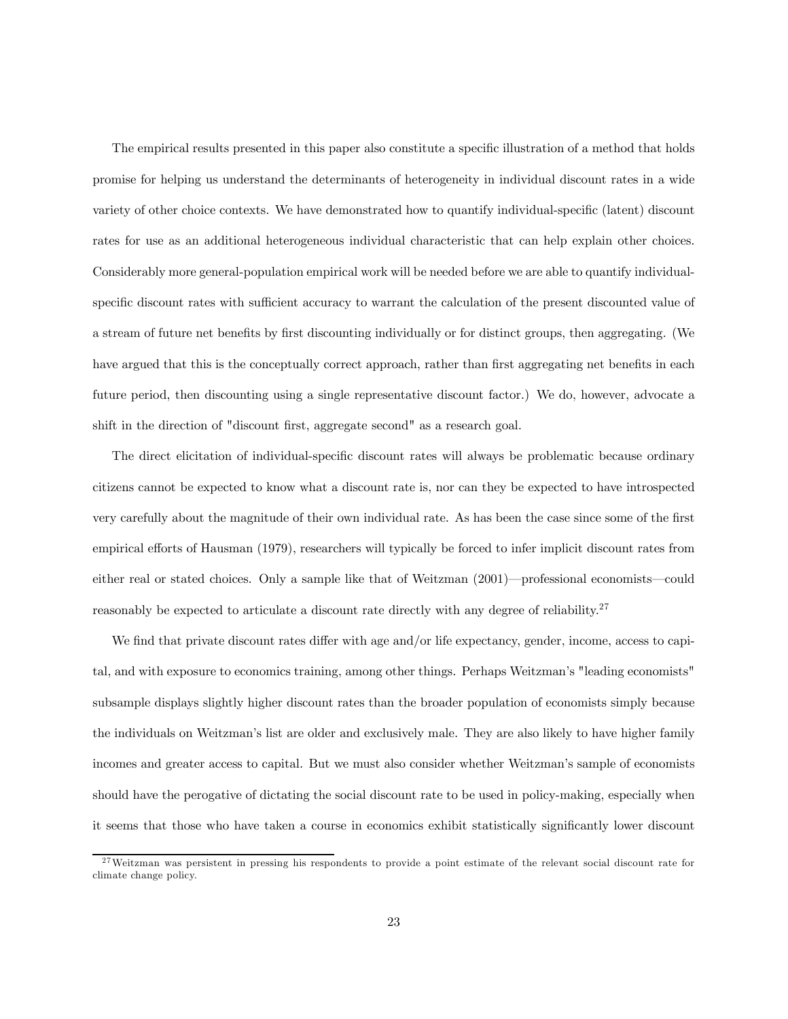The empirical results presented in this paper also constitute a specific illustration of a method that holds promise for helping us understand the determinants of heterogeneity in individual discount rates in a wide variety of other choice contexts. We have demonstrated how to quantify individual-specific (latent) discount rates for use as an additional heterogeneous individual characteristic that can help explain other choices. Considerably more general-population empirical work will be needed before we are able to quantify individualspecific discount rates with sufficient accuracy to warrant the calculation of the present discounted value of a stream of future net benefits by first discounting individually or for distinct groups, then aggregating. (We have argued that this is the conceptually correct approach, rather than first aggregating net benefits in each future period, then discounting using a single representative discount factor.) We do, however, advocate a shift in the direction of "discount first, aggregate second" as a research goal.

The direct elicitation of individual-specific discount rates will always be problematic because ordinary citizens cannot be expected to know what a discount rate is, nor can they be expected to have introspected very carefully about the magnitude of their own individual rate. As has been the case since some of the first empirical efforts of Hausman (1979), researchers will typically be forced to infer implicit discount rates from either real or stated choices. Only a sample like that of Weitzman (2001)–professional economists–could reasonably be expected to articulate a discount rate directly with any degree of reliability.<sup>27</sup>

We find that private discount rates differ with age and/or life expectancy, gender, income, access to capital, and with exposure to economics training, among other things. Perhaps Weitzman's "leading economists" subsample displays slightly higher discount rates than the broader population of economists simply because the individuals on Weitzman's list are older and exclusively male. They are also likely to have higher family incomes and greater access to capital. But we must also consider whether Weitzman's sample of economists should have the perogative of dictating the social discount rate to be used in policy-making, especially when it seems that those who have taken a course in economics exhibit statistically significantly lower discount

<sup>&</sup>lt;sup>27</sup>Weitzman was persistent in pressing his respondents to provide a point estimate of the relevant social discount rate for climate change policy.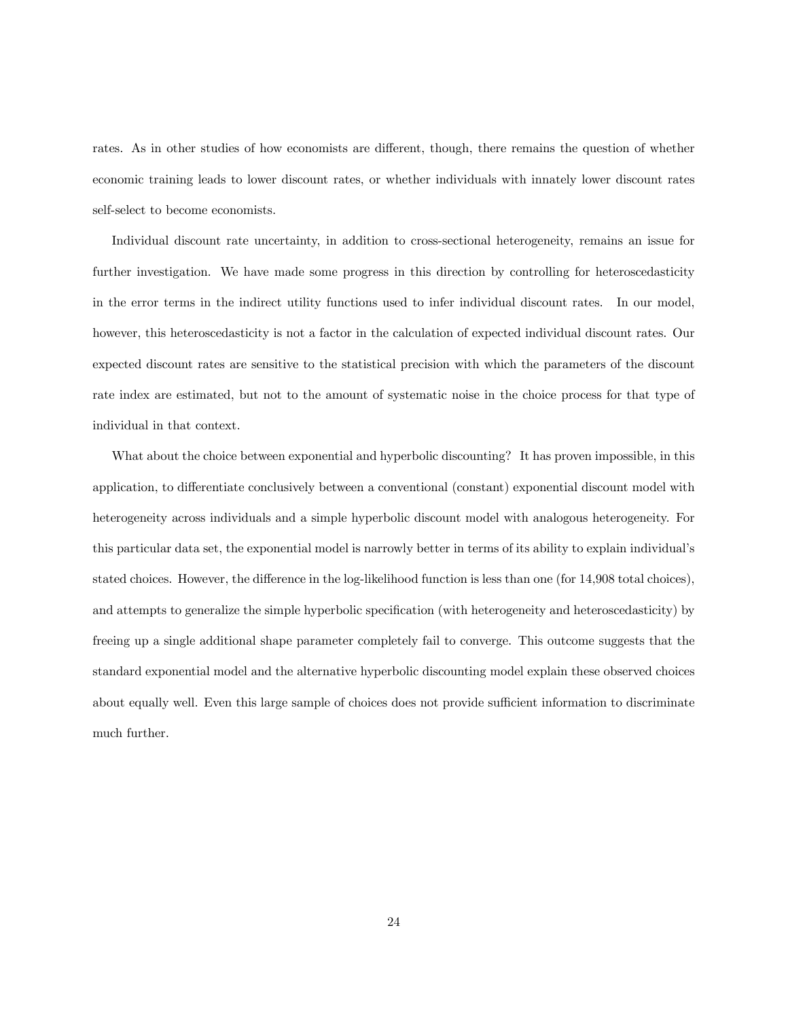rates. As in other studies of how economists are different, though, there remains the question of whether economic training leads to lower discount rates, or whether individuals with innately lower discount rates self-select to become economists.

Individual discount rate uncertainty, in addition to cross-sectional heterogeneity, remains an issue for further investigation. We have made some progress in this direction by controlling for heteroscedasticity in the error terms in the indirect utility functions used to infer individual discount rates. In our model, however, this heteroscedasticity is not a factor in the calculation of expected individual discount rates. Our expected discount rates are sensitive to the statistical precision with which the parameters of the discount rate index are estimated, but not to the amount of systematic noise in the choice process for that type of individual in that context.

What about the choice between exponential and hyperbolic discounting? It has proven impossible, in this application, to differentiate conclusively between a conventional (constant) exponential discount model with heterogeneity across individuals and a simple hyperbolic discount model with analogous heterogeneity. For this particular data set, the exponential model is narrowly better in terms of its ability to explain individual's stated choices. However, the difference in the log-likelihood function is less than one (for 14,908 total choices), and attempts to generalize the simple hyperbolic specification (with heterogeneity and heteroscedasticity) by freeing up a single additional shape parameter completely fail to converge. This outcome suggests that the standard exponential model and the alternative hyperbolic discounting model explain these observed choices about equally well. Even this large sample of choices does not provide sufficient information to discriminate much further.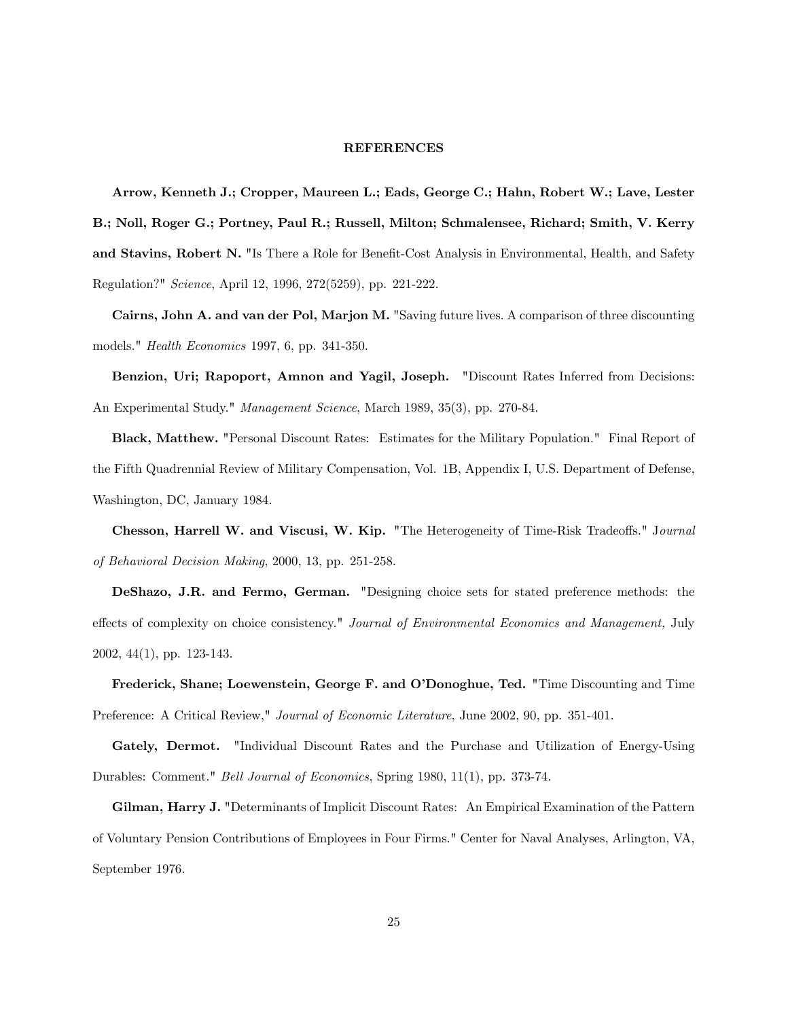#### REFERENCES

Arrow, Kenneth J.; Cropper, Maureen L.; Eads, George C.; Hahn, Robert W.; Lave, Lester B.; Noll, Roger G.; Portney, Paul R.; Russell, Milton; Schmalensee, Richard; Smith, V. Kerry and Stavins, Robert N. "Is There a Role for Benefit-Cost Analysis in Environmental, Health, and Safety Regulation?" Science, April 12, 1996, 272(5259), pp. 221-222.

Cairns, John A. and van der Pol, Marjon M. "Saving future lives. A comparison of three discounting models." Health Economics 1997, 6, pp. 341-350.

Benzion, Uri; Rapoport, Amnon and Yagil, Joseph. "Discount Rates Inferred from Decisions: An Experimental Study." Management Science, March 1989, 35(3), pp. 270-84.

Black, Matthew. "Personal Discount Rates: Estimates for the Military Population." Final Report of the Fifth Quadrennial Review of Military Compensation, Vol. 1B, Appendix I, U.S. Department of Defense, Washington, DC, January 1984.

Chesson, Harrell W. and Viscusi, W. Kip. "The Heterogeneity of Time-Risk Tradeoffs." Journal of Behavioral Decision Making, 2000, 13, pp. 251-258.

DeShazo, J.R. and Fermo, German. "Designing choice sets for stated preference methods: the effects of complexity on choice consistency." Journal of Environmental Economics and Management, July 2002, 44(1), pp. 123-143.

Frederick, Shane; Loewenstein, George F. and O'Donoghue, Ted. "Time Discounting and Time Preference: A Critical Review," Journal of Economic Literature, June 2002, 90, pp. 351-401.

Gately, Dermot. "Individual Discount Rates and the Purchase and Utilization of Energy-Using Durables: Comment." Bell Journal of Economics, Spring 1980, 11(1), pp. 373-74.

Gilman, Harry J. "Determinants of Implicit Discount Rates: An Empirical Examination of the Pattern of Voluntary Pension Contributions of Employees in Four Firms." Center for Naval Analyses, Arlington, VA, September 1976.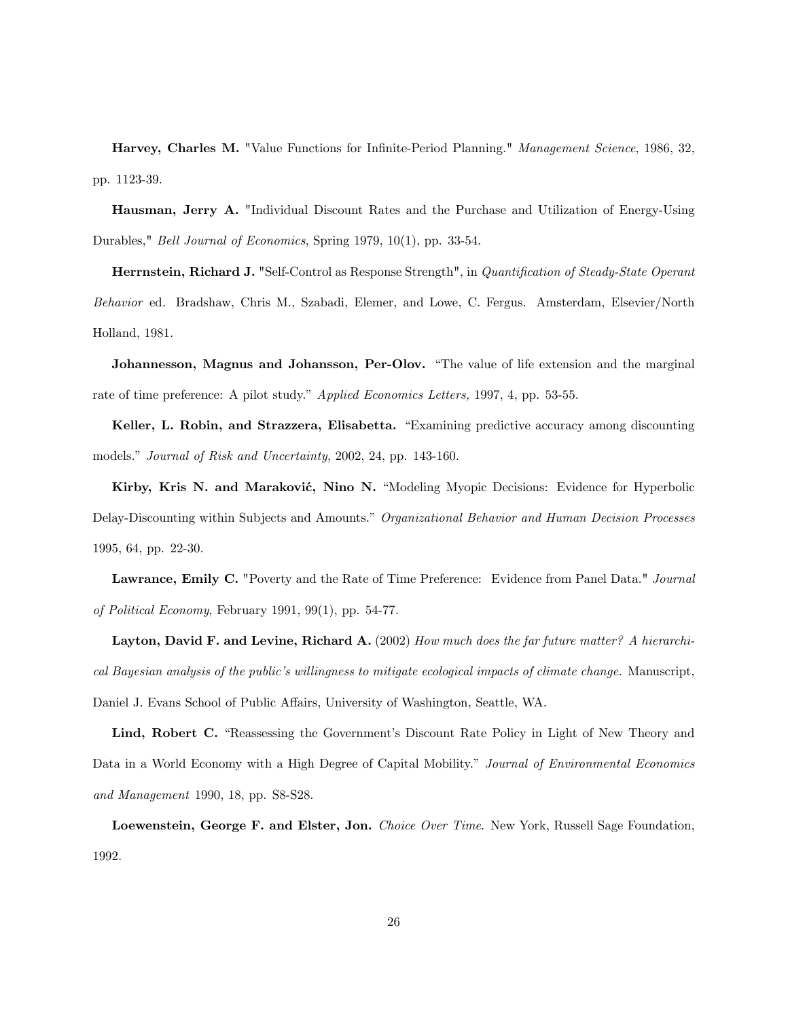Harvey, Charles M. "Value Functions for Infinite-Period Planning." Management Science, 1986, 32, pp. 1123-39.

Hausman, Jerry A. "Individual Discount Rates and the Purchase and Utilization of Energy-Using Durables," Bell Journal of Economics, Spring 1979, 10(1), pp. 33-54.

Herrnstein, Richard J. "Self-Control as Response Strength", in Quantification of Steady-State Operant Behavior ed. Bradshaw, Chris M., Szabadi, Elemer, and Lowe, C. Fergus. Amsterdam, Elsevier/North Holland, 1981.

Johannesson, Magnus and Johansson, Per-Olov. "The value of life extension and the marginal rate of time preference: A pilot study." Applied Economics Letters, 1997, 4, pp. 53-55.

Keller, L. Robin, and Strazzera, Elisabetta. "Examining predictive accuracy among discounting models." Journal of Risk and Uncertainty, 2002, 24, pp. 143-160.

Kirby, Kris N. and Maraković, Nino N. "Modeling Myopic Decisions: Evidence for Hyperbolic Delay-Discounting within Subjects and Amounts." Organizational Behavior and Human Decision Processes 1995, 64, pp. 22-30.

Lawrance, Emily C. "Poverty and the Rate of Time Preference: Evidence from Panel Data." Journal of Political Economy, February 1991, 99(1), pp. 54-77.

Layton, David F. and Levine, Richard A. (2002) How much does the far future matter? A hierarchical Bayesian analysis of the public's willingness to mitigate ecological impacts of climate change. Manuscript, Daniel J. Evans School of Public Affairs, University of Washington, Seattle, WA.

Lind, Robert C. "Reassessing the Government's Discount Rate Policy in Light of New Theory and Data in a World Economy with a High Degree of Capital Mobility." Journal of Environmental Economics and Management 1990, 18, pp. S8-S28.

Loewenstein, George F. and Elster, Jon. Choice Over Time. New York, Russell Sage Foundation, 1992.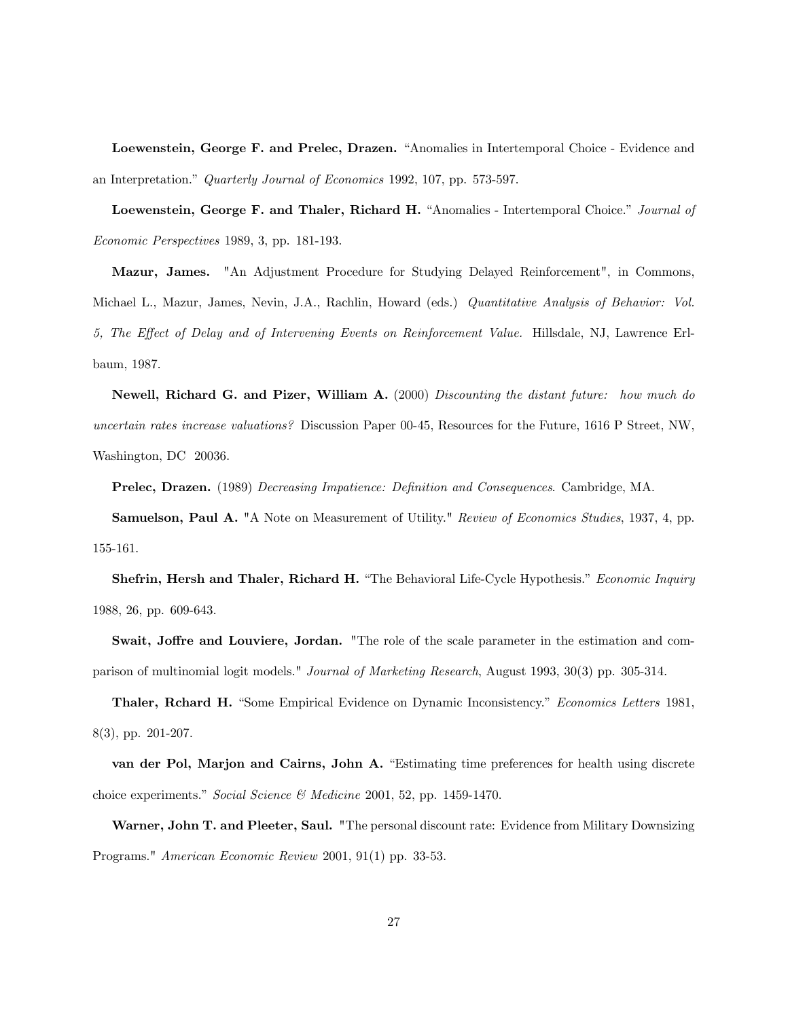Loewenstein, George F. and Prelec, Drazen. "Anomalies in Intertemporal Choice - Evidence and an Interpretation." Quarterly Journal of Economics 1992, 107, pp. 573-597.

Loewenstein, George F. and Thaler, Richard H. "Anomalies - Intertemporal Choice." Journal of Economic Perspectives 1989, 3, pp. 181-193.

Mazur, James. "An Adjustment Procedure for Studying Delayed Reinforcement", in Commons, Michael L., Mazur, James, Nevin, J.A., Rachlin, Howard (eds.) Quantitative Analysis of Behavior: Vol. 5, The Effect of Delay and of Intervening Events on Reinforcement Value. Hillsdale, NJ, Lawrence Erlbaum, 1987.

Newell, Richard G. and Pizer, William A. (2000) Discounting the distant future: how much do uncertain rates increase valuations? Discussion Paper 00-45, Resources for the Future, 1616 P Street, NW, Washington, DC 20036.

Prelec, Drazen. (1989) Decreasing Impatience: Definition and Consequences. Cambridge, MA.

Samuelson, Paul A. "A Note on Measurement of Utility." Review of Economics Studies, 1937, 4, pp. 155-161.

Shefrin, Hersh and Thaler, Richard H. "The Behavioral Life-Cycle Hypothesis." Economic Inquiry 1988, 26, pp. 609-643.

Swait, Joffre and Louviere, Jordan. "The role of the scale parameter in the estimation and comparison of multinomial logit models." Journal of Marketing Research, August 1993, 30(3) pp. 305-314.

Thaler, Rchard H. "Some Empirical Evidence on Dynamic Inconsistency." Economics Letters 1981, 8(3), pp. 201-207.

van der Pol, Marjon and Cairns, John A. "Estimating time preferences for health using discrete choice experiments." Social Science & Medicine 2001, 52, pp. 1459-1470.

Warner, John T. and Pleeter, Saul. "The personal discount rate: Evidence from Military Downsizing Programs." American Economic Review 2001, 91(1) pp. 33-53.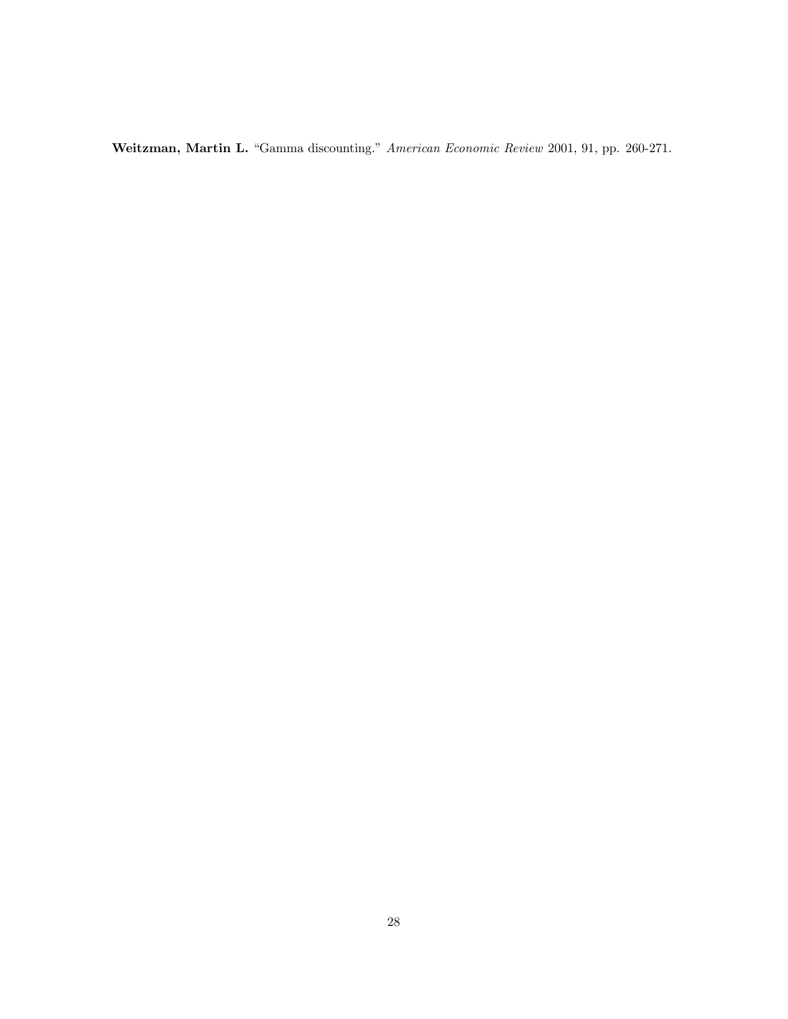Weitzman, Martin L. "Gamma discounting." American Economic Review 2001, 91, pp. 260-271.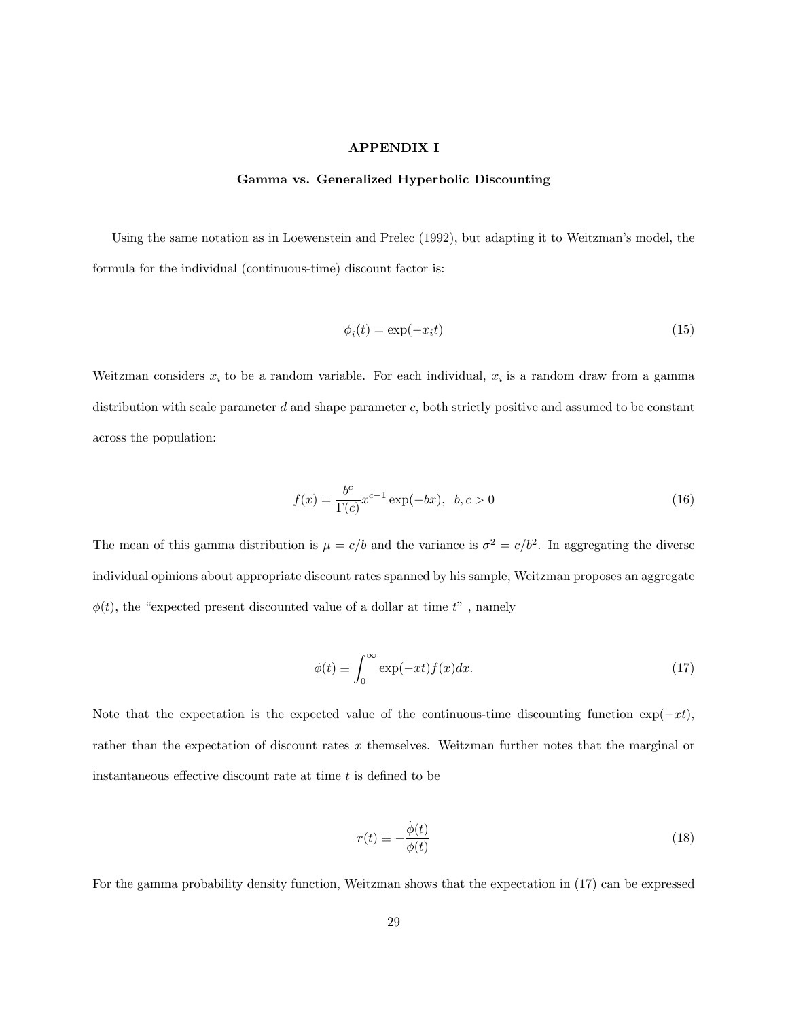# APPENDIX I

#### Gamma vs. Generalized Hyperbolic Discounting

Using the same notation as in Loewenstein and Prelec (1992), but adapting it to Weitzman's model, the formula for the individual (continuous-time) discount factor is:

$$
\phi_i(t) = \exp(-x_i t) \tag{15}
$$

Weitzman considers  $x_i$  to be a random variable. For each individual,  $x_i$  is a random draw from a gamma distribution with scale parameter  $d$  and shape parameter  $c$ , both strictly positive and assumed to be constant across the population:

$$
f(x) = \frac{b^c}{\Gamma(c)} x^{c-1} \exp(-bx), \ \ b, c > 0
$$
 (16)

The mean of this gamma distribution is  $\mu = c/b$  and the variance is  $\sigma^2 = c/b^2$ . In aggregating the diverse individual opinions about appropriate discount rates spanned by his sample, Weitzman proposes an aggregate  $\phi(t)$ , the "expected present discounted value of a dollar at time  $t$ ", namely

$$
\phi(t) \equiv \int_0^\infty \exp(-xt)f(x)dx.
$$
\n(17)

Note that the expectation is the expected value of the continuous-time discounting function  $\exp(-xt)$ , rather than the expectation of discount rates x themselves. Weitzman further notes that the marginal or instantaneous effective discount rate at time  $t$  is defined to be

$$
r(t) \equiv -\frac{\dot{\phi}(t)}{\phi(t)}
$$
\n(18)

For the gamma probability density function, Weitzman shows that the expectation in (17) can be expressed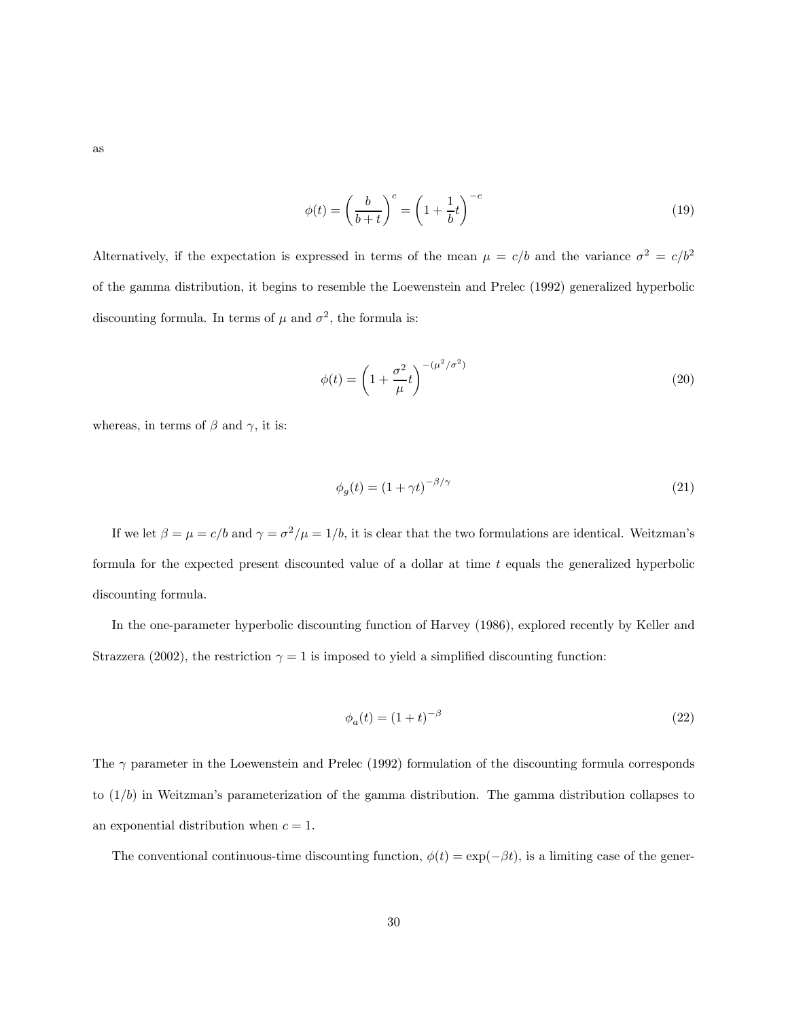$$
\qquad \text{as} \qquad
$$

$$
\phi(t) = \left(\frac{b}{b+t}\right)^c = \left(1 + \frac{1}{b}t\right)^{-c} \tag{19}
$$

Alternatively, if the expectation is expressed in terms of the mean  $\mu = c/b$  and the variance  $\sigma^2 = c/b^2$ of the gamma distribution, it begins to resemble the Loewenstein and Prelec (1992) generalized hyperbolic discounting formula. In terms of  $\mu$  and  $\sigma^2$ , the formula is:

$$
\phi(t) = \left(1 + \frac{\sigma^2}{\mu}t\right)^{-(\mu^2/\sigma^2)}
$$
\n(20)

whereas, in terms of  $\beta$  and  $\gamma$ , it is:

$$
\phi_g(t) = (1 + \gamma t)^{-\beta/\gamma} \tag{21}
$$

If we let  $\beta = \mu = c/b$  and  $\gamma = \sigma^2/\mu = 1/b$ , it is clear that the two formulations are identical. Weitzman's formula for the expected present discounted value of a dollar at time  $t$  equals the generalized hyperbolic discounting formula.

In the one-parameter hyperbolic discounting function of Harvey (1986), explored recently by Keller and Strazzera (2002), the restriction  $\gamma = 1$  is imposed to yield a simplified discounting function:

$$
\phi_a(t) = (1+t)^{-\beta} \tag{22}
$$

The  $\gamma$  parameter in the Loewenstein and Prelec (1992) formulation of the discounting formula corresponds to  $(1/b)$  in Weitzman's parameterization of the gamma distribution. The gamma distribution collapses to an exponential distribution when  $c = 1$ .

The conventional continuous-time discounting function,  $\phi(t) = \exp(-\beta t)$ , is a limiting case of the gener-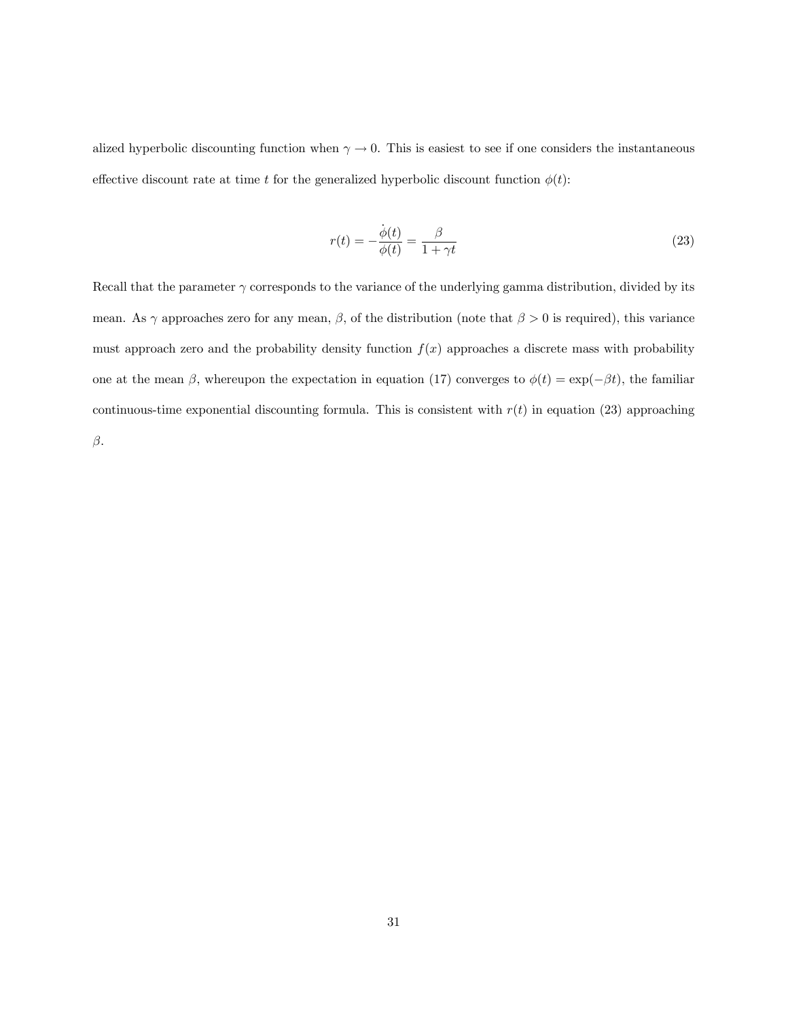alized hyperbolic discounting function when  $\gamma \to 0$ . This is easiest to see if one considers the instantaneous effective discount rate at time t for the generalized hyperbolic discount function  $\phi(t)$ :

$$
r(t) = -\frac{\dot{\phi}(t)}{\phi(t)} = \frac{\beta}{1 + \gamma t}
$$
\n(23)

Recall that the parameter  $\gamma$  corresponds to the variance of the underlying gamma distribution, divided by its mean. As  $\gamma$  approaches zero for any mean,  $\beta$ , of the distribution (note that  $\beta > 0$  is required), this variance must approach zero and the probability density function  $f(x)$  approaches a discrete mass with probability one at the mean  $\beta$ , whereupon the expectation in equation (17) converges to  $\phi(t) = \exp(-\beta t)$ , the familiar continuous-time exponential discounting formula. This is consistent with  $r(t)$  in equation (23) approaching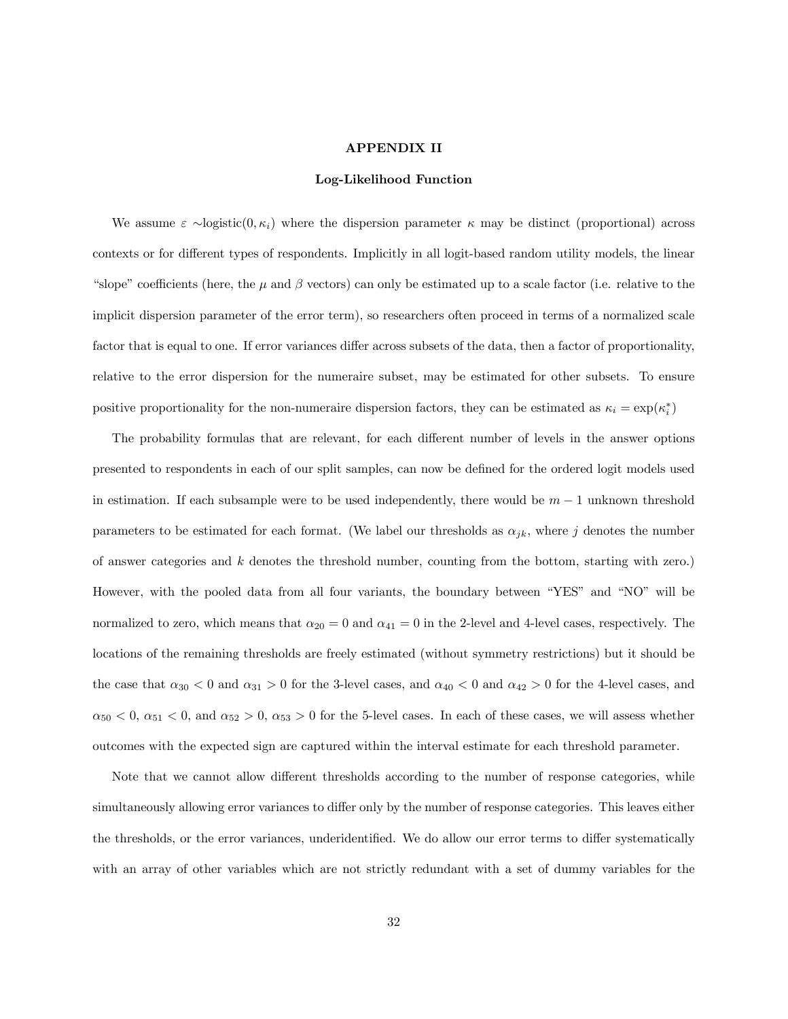#### APPENDIX II

#### Log-Likelihood Function

We assume  $\varepsilon \sim$ logistic $(0, \kappa_i)$  where the dispersion parameter  $\kappa$  may be distinct (proportional) across contexts or for different types of respondents. Implicitly in all logit-based random utility models, the linear "slope" coefficients (here, the  $\mu$  and  $\beta$  vectors) can only be estimated up to a scale factor (i.e. relative to the implicit dispersion parameter of the error term), so researchers often proceed in terms of a normalized scale factor that is equal to one. If error variances differ across subsets of the data, then a factor of proportionality, relative to the error dispersion for the numeraire subset, may be estimated for other subsets. To ensure positive proportionality for the non-numeraire dispersion factors, they can be estimated as  $\kappa_i = \exp(\kappa_i^*)$ 

The probability formulas that are relevant, for each different number of levels in the answer options presented to respondents in each of our split samples, can now be defined for the ordered logit models used in estimation. If each subsample were to be used independently, there would be  $m-1$  unknown threshold parameters to be estimated for each format. (We label our thresholds as  $\alpha_{jk}$ , where j denotes the number of answer categories and k denotes the threshold number, counting from the bottom, starting with zero.) However, with the pooled data from all four variants, the boundary between "YES" and "NO" will be normalized to zero, which means that  $\alpha_{20} = 0$  and  $\alpha_{41} = 0$  in the 2-level and 4-level cases, respectively. The locations of the remaining thresholds are freely estimated (without symmetry restrictions) but it should be the case that  $\alpha_{30} < 0$  and  $\alpha_{31} > 0$  for the 3-level cases, and  $\alpha_{40} < 0$  and  $\alpha_{42} > 0$  for the 4-level cases, and  $\alpha_{50}$  < 0,  $\alpha_{51}$  < 0, and  $\alpha_{52}$  > 0,  $\alpha_{53}$  > 0 for the 5-level cases. In each of these cases, we will assess whether outcomes with the expected sign are captured within the interval estimate for each threshold parameter.

Note that we cannot allow different thresholds according to the number of response categories, while simultaneously allowing error variances to differ only by the number of response categories. This leaves either the thresholds, or the error variances, underidentified. We do allow our error terms to differ systematically with an array of other variables which are not strictly redundant with a set of dummy variables for the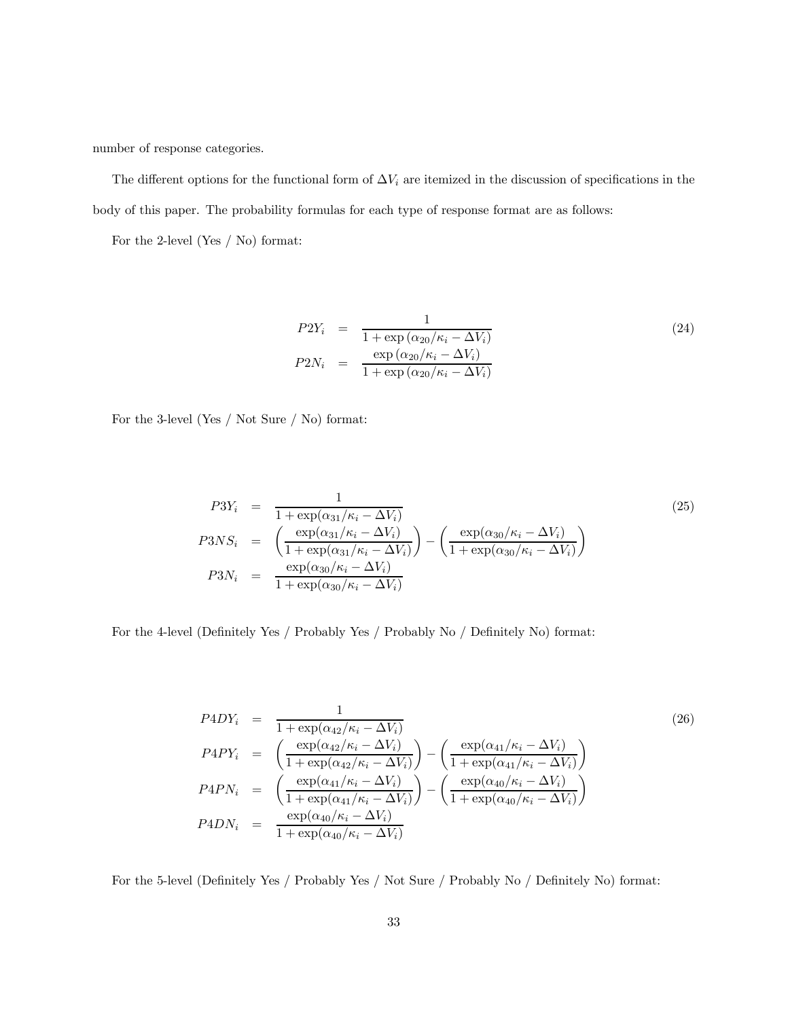number of response categories.

The different options for the functional form of  $\Delta V_i$  are itemized in the discussion of specifications in the body of this paper. The probability formulas for each type of response format are as follows:

For the 2-level (Yes / No) format:

$$
P2Y_i = \frac{1}{1 + \exp\left(\alpha_{20}/\kappa_i - \Delta V_i\right)}
$$
  
\n
$$
P2N_i = \frac{\exp\left(\alpha_{20}/\kappa_i - \Delta V_i\right)}{1 + \exp\left(\alpha_{20}/\kappa_i - \Delta V_i\right)}
$$
\n(24)

For the 3-level (Yes / Not Sure / No) format:

$$
P3Y_i = \frac{1}{1 + \exp(\alpha_{31}/\kappa_i - \Delta V_i)}
$$
  
\n
$$
P3NS_i = \left(\frac{\exp(\alpha_{31}/\kappa_i - \Delta V_i)}{1 + \exp(\alpha_{31}/\kappa_i - \Delta V_i)}\right) - \left(\frac{\exp(\alpha_{30}/\kappa_i - \Delta V_i)}{1 + \exp(\alpha_{30}/\kappa_i - \Delta V_i)}\right)
$$
  
\n
$$
P3N_i = \frac{\exp(\alpha_{30}/\kappa_i - \Delta V_i)}{1 + \exp(\alpha_{30}/\kappa_i - \Delta V_i)}
$$
\n(25)

For the 4-level (Definitely Yes / Probably Yes / Probably No / Definitely No) format:

$$
P4DY_i = \frac{1}{1 + \exp(\alpha_{42}/\kappa_i - \Delta V_i)}
$$
\n
$$
P4PY_i = \left(\frac{\exp(\alpha_{42}/\kappa_i - \Delta V_i)}{1 + \exp(\alpha_{42}/\kappa_i - \Delta V_i)}\right) - \left(\frac{\exp(\alpha_{41}/\kappa_i - \Delta V_i)}{1 + \exp(\alpha_{41}/\kappa_i - \Delta V_i)}\right)
$$
\n
$$
P4PN_i = \left(\frac{\exp(\alpha_{41}/\kappa_i - \Delta V_i)}{1 + \exp(\alpha_{41}/\kappa_i - \Delta V_i)}\right) - \left(\frac{\exp(\alpha_{40}/\kappa_i - \Delta V_i)}{1 + \exp(\alpha_{40}/\kappa_i - \Delta V_i)}\right)
$$
\n
$$
P4DN_i = \frac{\exp(\alpha_{40}/\kappa_i - \Delta V_i)}{1 + \exp(\alpha_{40}/\kappa_i - \Delta V_i)}
$$
\n(26)

For the 5-level (Definitely Yes / Probably Yes / Not Sure / Probably No / Definitely No) format: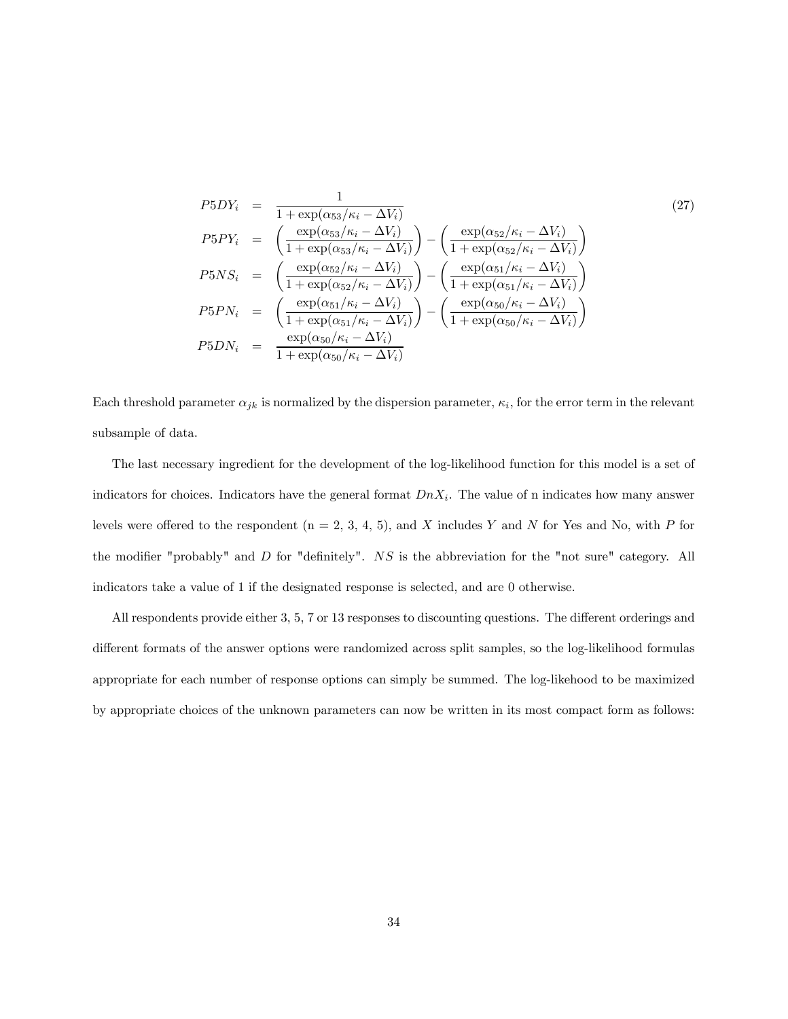$$
P5DY_i = \frac{1}{1 + \exp(\alpha_{53}/\kappa_i - \Delta V_i)}
$$
\n
$$
P5PY_i = \left(\frac{\exp(\alpha_{53}/\kappa_i - \Delta V_i)}{1 + \exp(\alpha_{53}/\kappa_i - \Delta V_i)}\right) - \left(\frac{\exp(\alpha_{52}/\kappa_i - \Delta V_i)}{1 + \exp(\alpha_{52}/\kappa_i - \Delta V_i)}\right)
$$
\n
$$
P5NS_i = \left(\frac{\exp(\alpha_{52}/\kappa_i - \Delta V_i)}{1 + \exp(\alpha_{52}/\kappa_i - \Delta V_i)}\right) - \left(\frac{\exp(\alpha_{51}/\kappa_i - \Delta V_i)}{1 + \exp(\alpha_{51}/\kappa_i - \Delta V_i)}\right)
$$
\n
$$
P5PN_i = \left(\frac{\exp(\alpha_{51}/\kappa_i - \Delta V_i)}{1 + \exp(\alpha_{51}/\kappa_i - \Delta V_i)}\right) - \left(\frac{\exp(\alpha_{50}/\kappa_i - \Delta V_i)}{1 + \exp(\alpha_{50}/\kappa_i - \Delta V_i)}\right)
$$
\n
$$
P5DN_i = \frac{\exp(\alpha_{50}/\kappa_i - \Delta V_i)}{1 + \exp(\alpha_{50}/\kappa_i - \Delta V_i)}
$$
\n(27)

Each threshold parameter  $\alpha_{jk}$  is normalized by the dispersion parameter,  $\kappa_i$ , for the error term in the relevant subsample of data.

The last necessary ingredient for the development of the log-likelihood function for this model is a set of indicators for choices. Indicators have the general format  $DnX_i$ . The value of n indicates how many answer levels were offered to the respondent  $(n = 2, 3, 4, 5)$ , and X includes Y and N for Yes and No, with P for the modifier "probably" and D for "definitely". NS is the abbreviation for the "not sure" category. All indicators take a value of 1 if the designated response is selected, and are 0 otherwise.

All respondents provide either 3, 5, 7 or 13 responses to discounting questions. The different orderings and different formats of the answer options were randomized across split samples, so the log-likelihood formulas appropriate for each number of response options can simply be summed. The log-likehood to be maximized by appropriate choices of the unknown parameters can now be written in its most compact form as follows: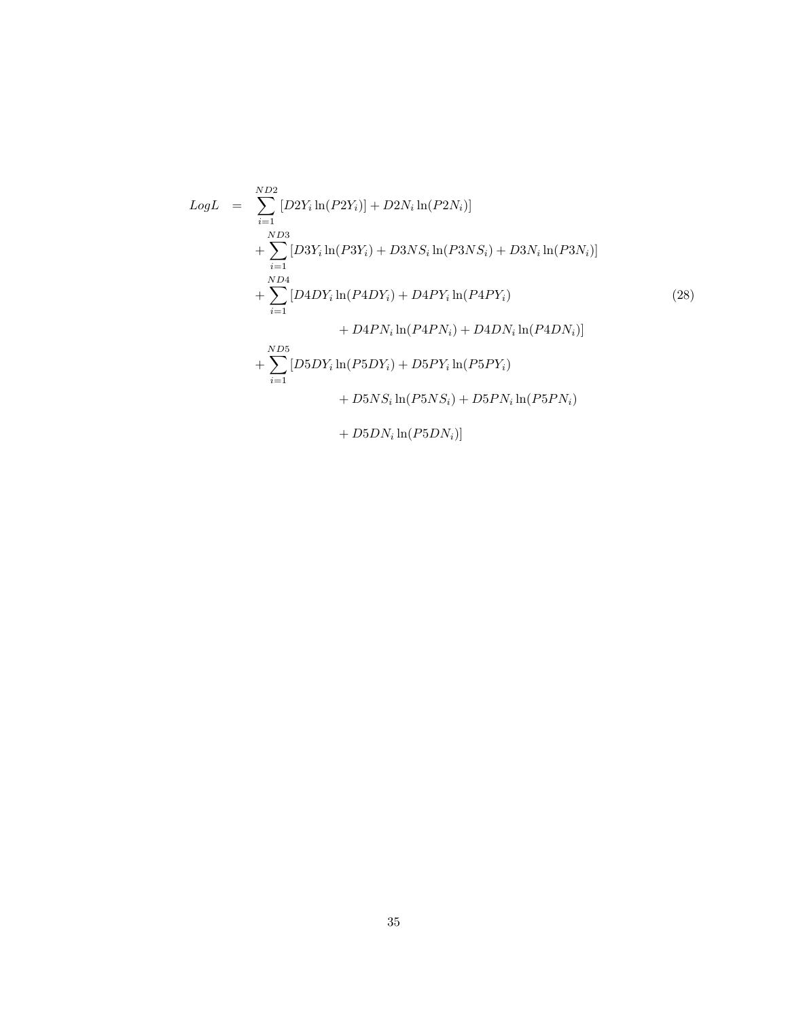$$
LogL = \sum_{i=1}^{ND2} [D2Y_i \ln(P2Y_i)] + D2N_i \ln(P2N_i)]
$$
  
+ 
$$
\sum_{i=1}^{ND3} [D3Y_i \ln(P3Y_i) + D3NS_i \ln(P3NS_i) + D3N_i \ln(P3N_i)]
$$
  
+ 
$$
\sum_{i=1}^{ND4} [D4DY_i \ln(P4DY_i) + D4PY_i \ln(P4PY_i)
$$
  
+ 
$$
D4PN_i \ln(P4PN_i) + D4DN_i \ln(P4DN_i)]
$$
  
+ 
$$
\sum_{i=1}^{ND5} [D5DY_i \ln(P5DY_i) + D5PY_i \ln(P5PY_i)
$$
  
+ 
$$
D5NS_i \ln(P5NS_i) + D5PN_i \ln(P5PN_i)
$$
  
+ 
$$
D5DN_i \ln(P5DN_i)]
$$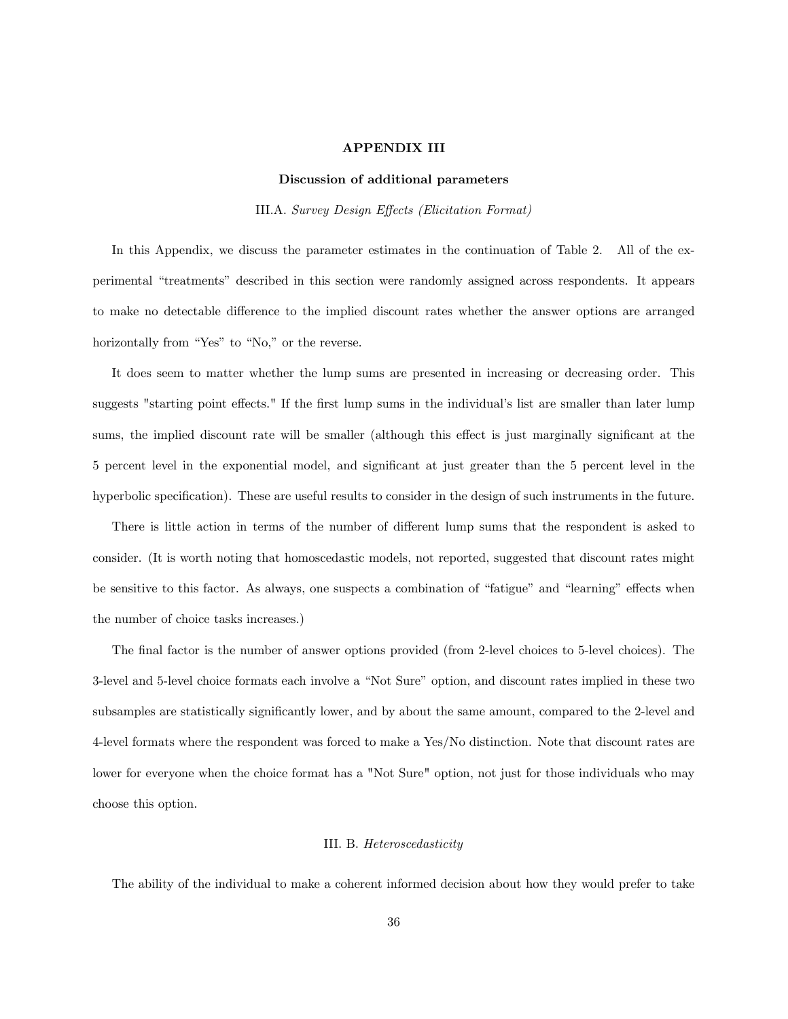# APPENDIX III

#### Discussion of additional parameters

III.A. Survey Design Effects (Elicitation Format)

In this Appendix, we discuss the parameter estimates in the continuation of Table 2. All of the experimental "treatments" described in this section were randomly assigned across respondents. It appears to make no detectable difference to the implied discount rates whether the answer options are arranged horizontally from "Yes" to "No," or the reverse.

It does seem to matter whether the lump sums are presented in increasing or decreasing order. This suggests "starting point effects." If the first lump sums in the individual's list are smaller than later lump sums, the implied discount rate will be smaller (although this effect is just marginally significant at the 5 percent level in the exponential model, and significant at just greater than the 5 percent level in the hyperbolic specification). These are useful results to consider in the design of such instruments in the future.

There is little action in terms of the number of different lump sums that the respondent is asked to consider. (It is worth noting that homoscedastic models, not reported, suggested that discount rates might be sensitive to this factor. As always, one suspects a combination of "fatigue" and "learning" effects when the number of choice tasks increases.)

The final factor is the number of answer options provided (from 2-level choices to 5-level choices). The 3-level and 5-level choice formats each involve a "Not Sure" option, and discount rates implied in these two subsamples are statistically significantly lower, and by about the same amount, compared to the 2-level and 4-level formats where the respondent was forced to make a Yes/No distinction. Note that discount rates are lower for everyone when the choice format has a "Not Sure" option, not just for those individuals who may choose this option.

# III. B. Heteroscedasticity

The ability of the individual to make a coherent informed decision about how they would prefer to take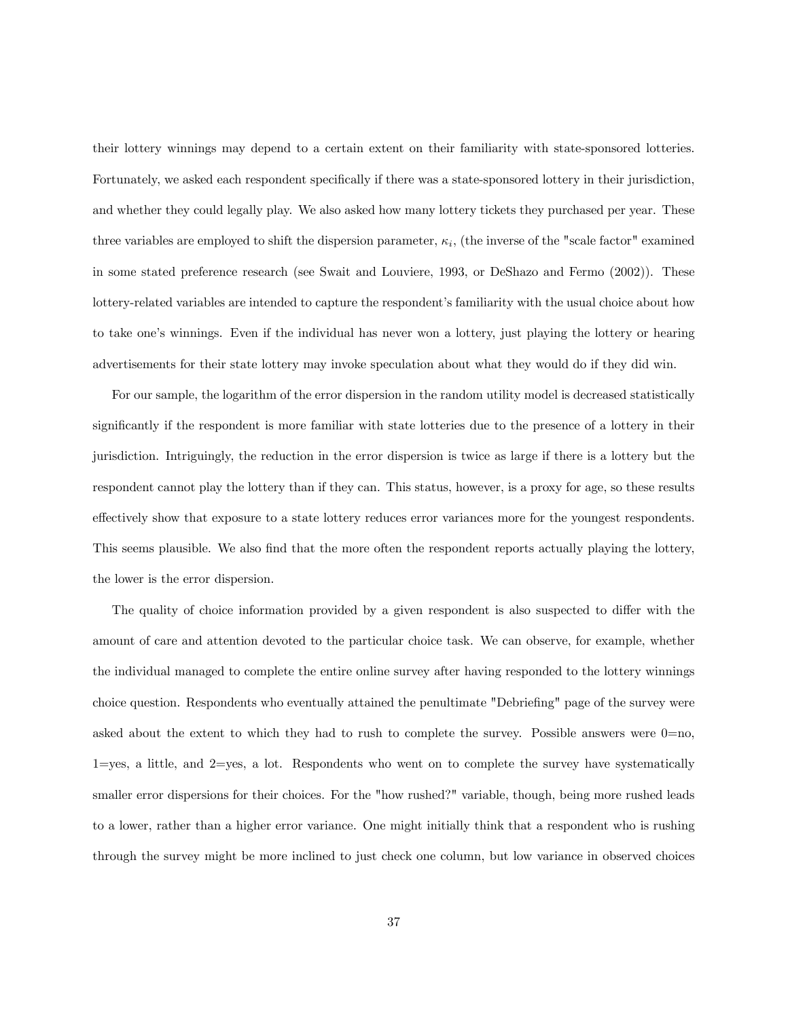their lottery winnings may depend to a certain extent on their familiarity with state-sponsored lotteries. Fortunately, we asked each respondent specifically if there was a state-sponsored lottery in their jurisdiction, and whether they could legally play. We also asked how many lottery tickets they purchased per year. These three variables are employed to shift the dispersion parameter,  $\kappa_i$ , (the inverse of the "scale factor" examined in some stated preference research (see Swait and Louviere, 1993, or DeShazo and Fermo (2002)). These lottery-related variables are intended to capture the respondent's familiarity with the usual choice about how to take one's winnings. Even if the individual has never won a lottery, just playing the lottery or hearing advertisements for their state lottery may invoke speculation about what they would do if they did win.

For our sample, the logarithm of the error dispersion in the random utility model is decreased statistically significantly if the respondent is more familiar with state lotteries due to the presence of a lottery in their jurisdiction. Intriguingly, the reduction in the error dispersion is twice as large if there is a lottery but the respondent cannot play the lottery than if they can. This status, however, is a proxy for age, so these results effectively show that exposure to a state lottery reduces error variances more for the youngest respondents. This seems plausible. We also find that the more often the respondent reports actually playing the lottery, the lower is the error dispersion.

The quality of choice information provided by a given respondent is also suspected to differ with the amount of care and attention devoted to the particular choice task. We can observe, for example, whether the individual managed to complete the entire online survey after having responded to the lottery winnings choice question. Respondents who eventually attained the penultimate "Debriefing" page of the survey were asked about the extent to which they had to rush to complete the survey. Possible answers were  $0=$ no,  $1 = yes$ , a little, and  $2 = yes$ , a lot. Respondents who went on to complete the survey have systematically smaller error dispersions for their choices. For the "how rushed?" variable, though, being more rushed leads to a lower, rather than a higher error variance. One might initially think that a respondent who is rushing through the survey might be more inclined to just check one column, but low variance in observed choices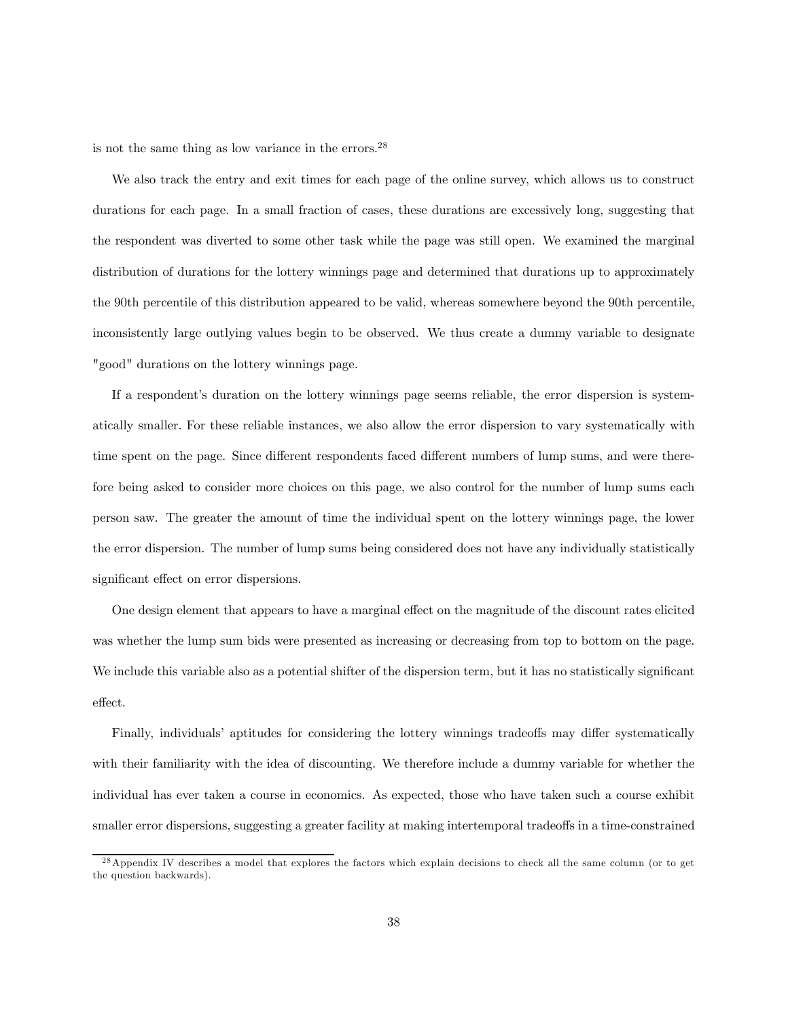is not the same thing as low variance in the errors.  $28$ 

We also track the entry and exit times for each page of the online survey, which allows us to construct durations for each page. In a small fraction of cases, these durations are excessively long, suggesting that the respondent was diverted to some other task while the page was still open. We examined the marginal distribution of durations for the lottery winnings page and determined that durations up to approximately the 90th percentile of this distribution appeared to be valid, whereas somewhere beyond the 90th percentile, inconsistently large outlying values begin to be observed. We thus create a dummy variable to designate "good" durations on the lottery winnings page.

If a respondent's duration on the lottery winnings page seems reliable, the error dispersion is systematically smaller. For these reliable instances, we also allow the error dispersion to vary systematically with time spent on the page. Since different respondents faced different numbers of lump sums, and were therefore being asked to consider more choices on this page, we also control for the number of lump sums each person saw. The greater the amount of time the individual spent on the lottery winnings page, the lower the error dispersion. The number of lump sums being considered does not have any individually statistically significant effect on error dispersions.

One design element that appears to have a marginal effect on the magnitude of the discount rates elicited was whether the lump sum bids were presented as increasing or decreasing from top to bottom on the page. We include this variable also as a potential shifter of the dispersion term, but it has no statistically significant effect.

Finally, individuals' aptitudes for considering the lottery winnings tradeoffs may differ systematically with their familiarity with the idea of discounting. We therefore include a dummy variable for whether the individual has ever taken a course in economics. As expected, those who have taken such a course exhibit smaller error dispersions, suggesting a greater facility at making intertemporal tradeoffs in a time-constrained

<sup>&</sup>lt;sup>28</sup> Appendix IV describes a model that explores the factors which explain decisions to check all the same column (or to get the question backwards).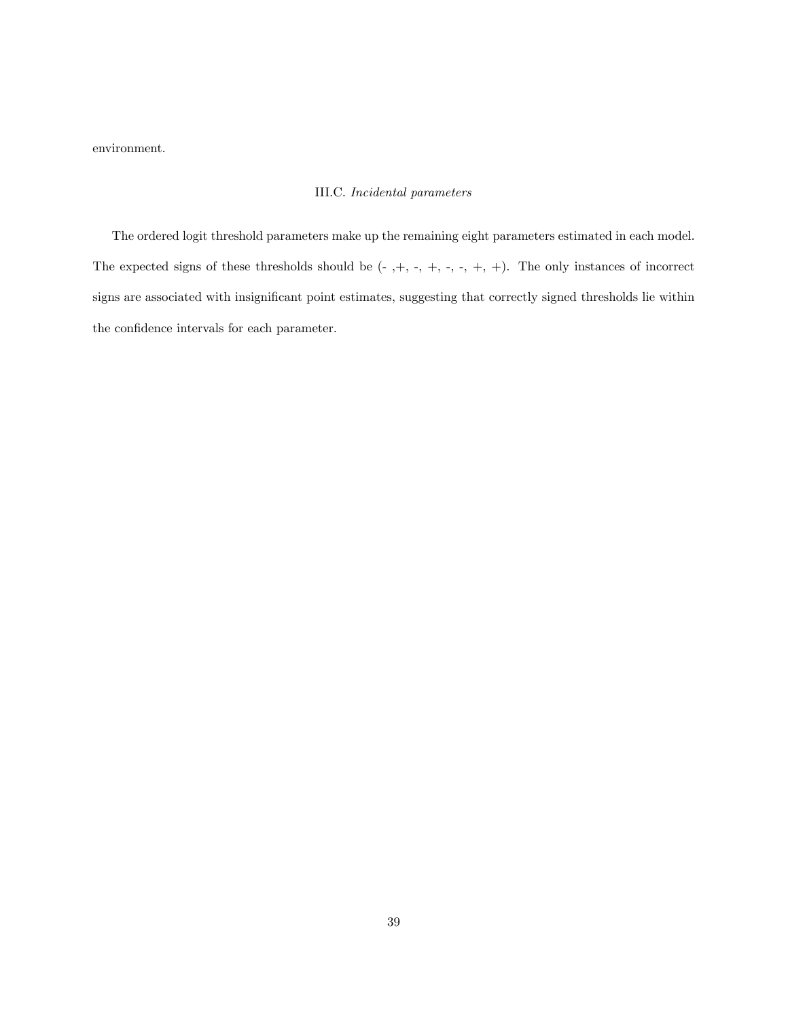environment.

# III.C. Incidental parameters

The ordered logit threshold parameters make up the remaining eight parameters estimated in each model. The expected signs of these thresholds should be  $(-, +, -, +, -, +, +)$ . The only instances of incorrect signs are associated with insignificant point estimates, suggesting that correctly signed thresholds lie within the confidence intervals for each parameter.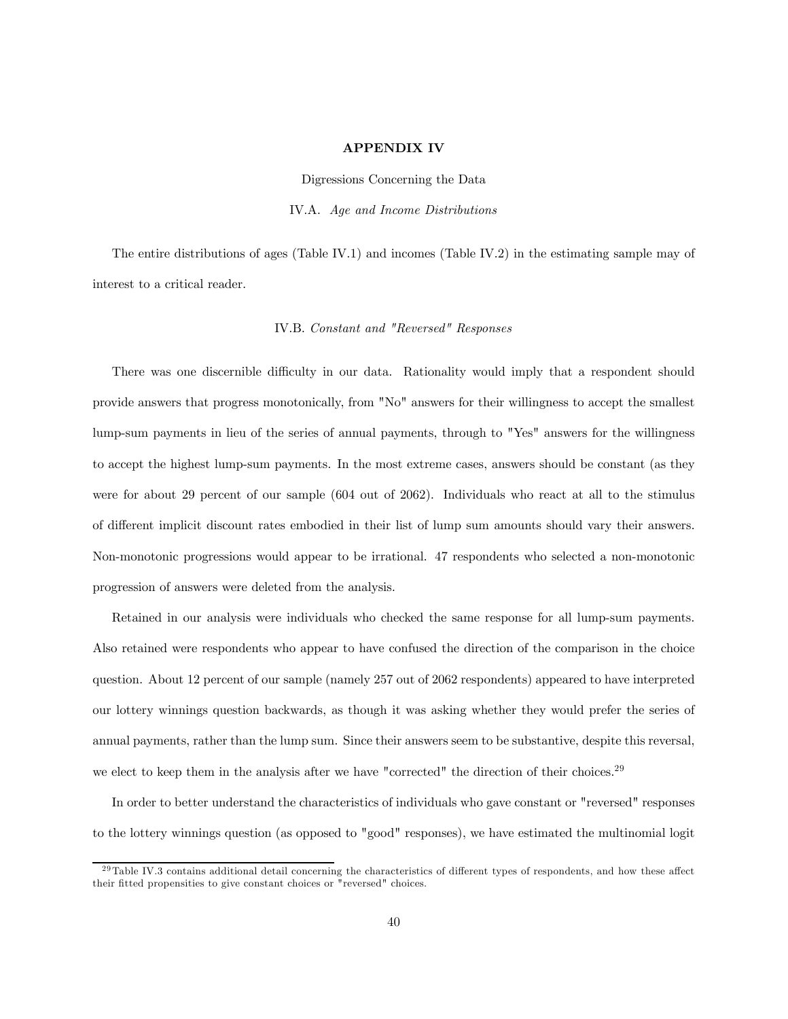# APPENDIX IV

Digressions Concerning the Data IV.A. Age and Income Distributions

The entire distributions of ages (Table IV.1) and incomes (Table IV.2) in the estimating sample may of interest to a critical reader.

# IV.B. Constant and "Reversed" Responses

There was one discernible difficulty in our data. Rationality would imply that a respondent should provide answers that progress monotonically, from "No" answers for their willingness to accept the smallest lump-sum payments in lieu of the series of annual payments, through to "Yes" answers for the willingness to accept the highest lump-sum payments. In the most extreme cases, answers should be constant (as they were for about 29 percent of our sample (604 out of 2062). Individuals who react at all to the stimulus of different implicit discount rates embodied in their list of lump sum amounts should vary their answers. Non-monotonic progressions would appear to be irrational. 47 respondents who selected a non-monotonic progression of answers were deleted from the analysis.

Retained in our analysis were individuals who checked the same response for all lump-sum payments. Also retained were respondents who appear to have confused the direction of the comparison in the choice question. About 12 percent of our sample (namely 257 out of 2062 respondents) appeared to have interpreted our lottery winnings question backwards, as though it was asking whether they would prefer the series of annual payments, rather than the lump sum. Since their answers seem to be substantive, despite this reversal, we elect to keep them in the analysis after we have "corrected" the direction of their choices.<sup>29</sup>

In order to better understand the characteristics of individuals who gave constant or "reversed" responses to the lottery winnings question (as opposed to "good" responses), we have estimated the multinomial logit

<sup>&</sup>lt;sup>29</sup>Table IV.3 contains additional detail concerning the characteristics of different types of respondents, and how these affect their fitted propensities to give constant choices or "reversed" choices.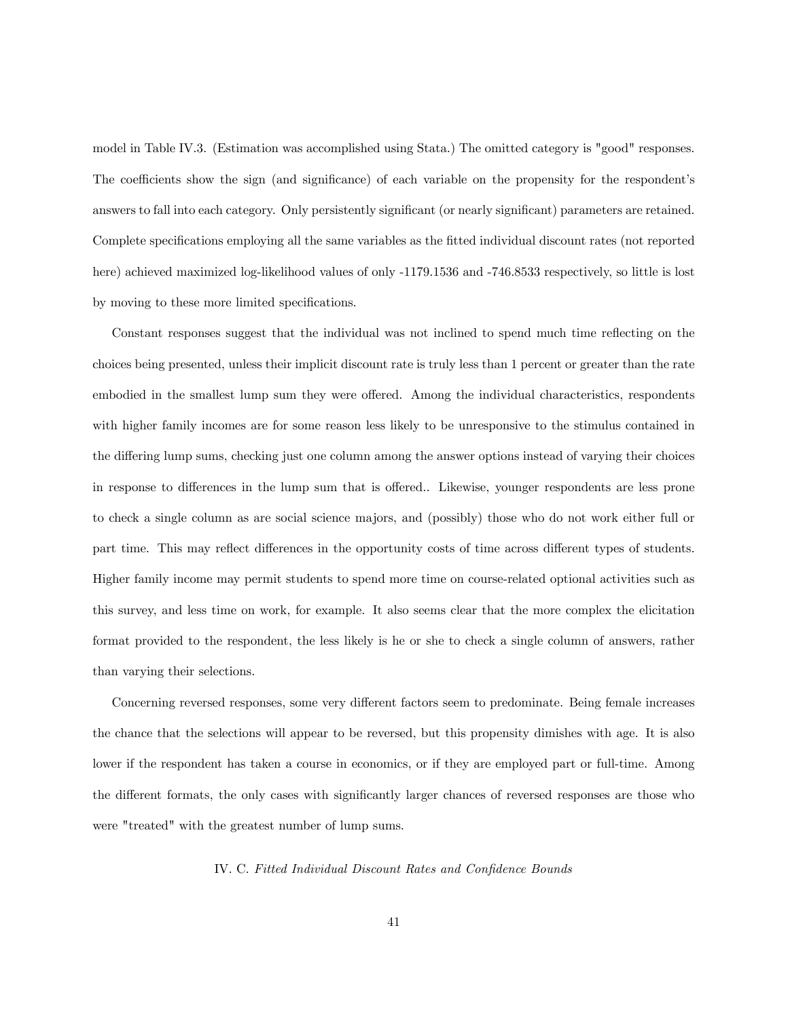model in Table IV.3. (Estimation was accomplished using Stata.) The omitted category is "good" responses. The coefficients show the sign (and significance) of each variable on the propensity for the respondent's answers to fall into each category. Only persistently significant (or nearly significant) parameters are retained. Complete specifications employing all the same variables as the fitted individual discount rates (not reported here) achieved maximized log-likelihood values of only -1179.1536 and -746.8533 respectively, so little is lost by moving to these more limited specifications.

Constant responses suggest that the individual was not inclined to spend much time reflecting on the choices being presented, unless their implicit discount rate is truly less than 1 percent or greater than the rate embodied in the smallest lump sum they were offered. Among the individual characteristics, respondents with higher family incomes are for some reason less likely to be unresponsive to the stimulus contained in the differing lump sums, checking just one column among the answer options instead of varying their choices in response to differences in the lump sum that is offered.. Likewise, younger respondents are less prone to check a single column as are social science majors, and (possibly) those who do not work either full or part time. This may reflect differences in the opportunity costs of time across different types of students. Higher family income may permit students to spend more time on course-related optional activities such as this survey, and less time on work, for example. It also seems clear that the more complex the elicitation format provided to the respondent, the less likely is he or she to check a single column of answers, rather than varying their selections.

Concerning reversed responses, some very different factors seem to predominate. Being female increases the chance that the selections will appear to be reversed, but this propensity dimishes with age. It is also lower if the respondent has taken a course in economics, or if they are employed part or full-time. Among the different formats, the only cases with significantly larger chances of reversed responses are those who were "treated" with the greatest number of lump sums.

#### IV. C. Fitted Individual Discount Rates and Confidence Bounds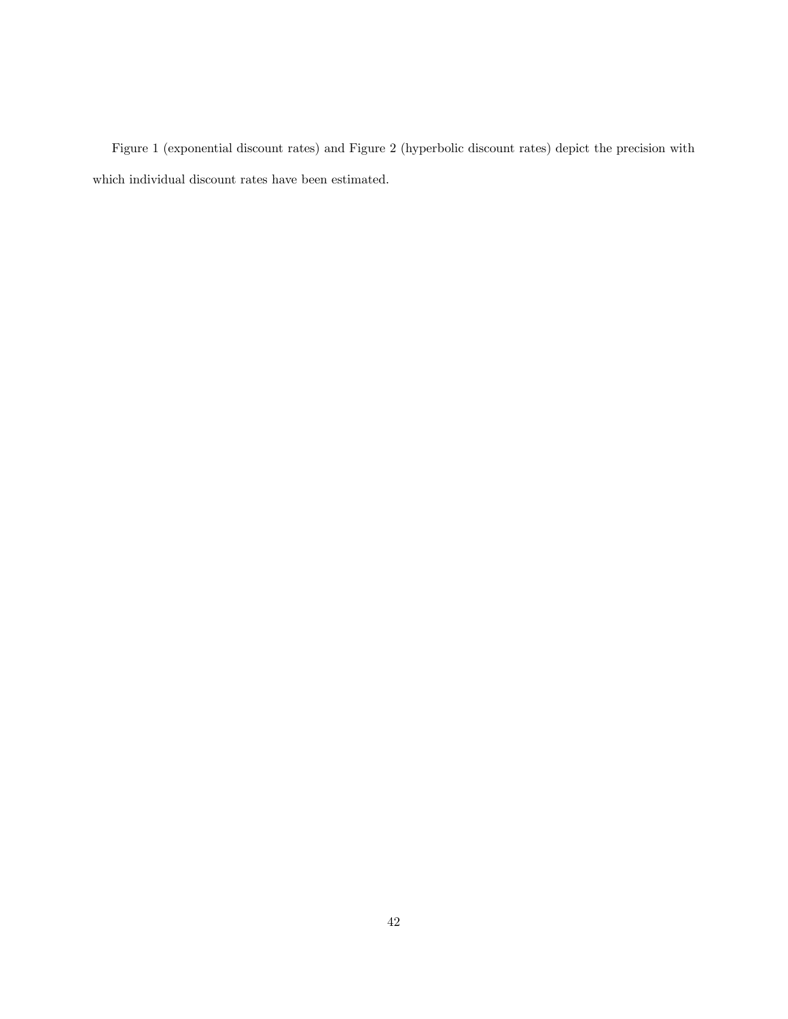Figure 1 (exponential discount rates) and Figure 2 (hyperbolic discount rates) depict the precision with which individual discount rates have been estimated.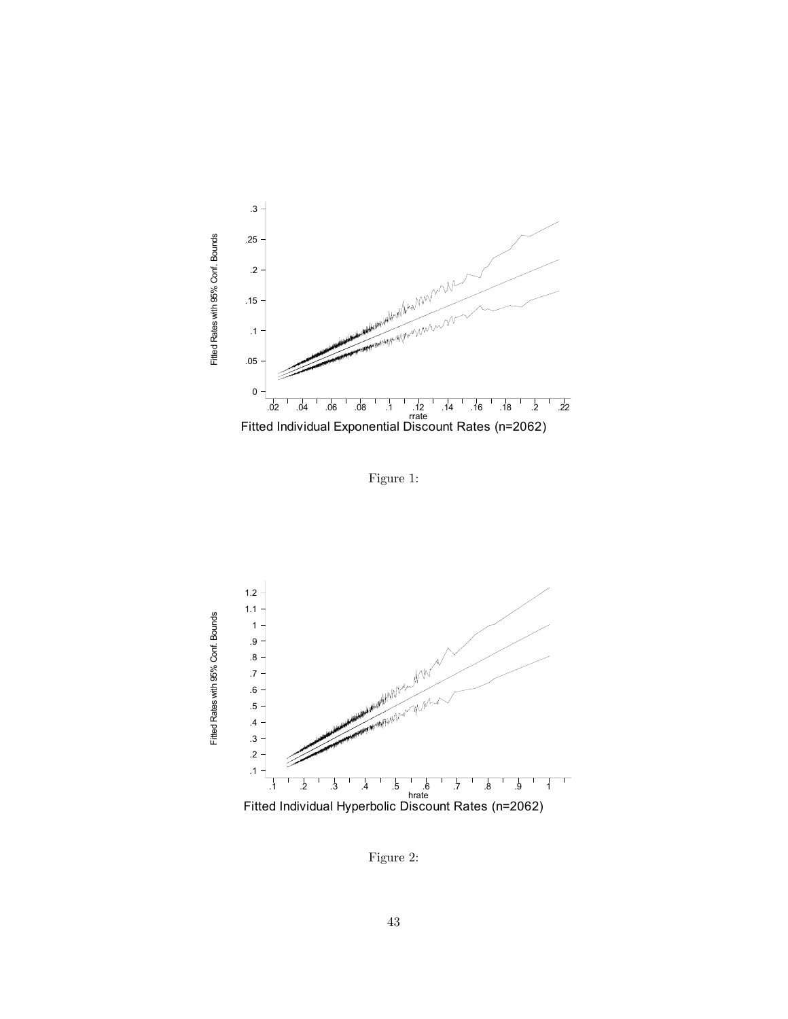

Figure 1:



Figure 2: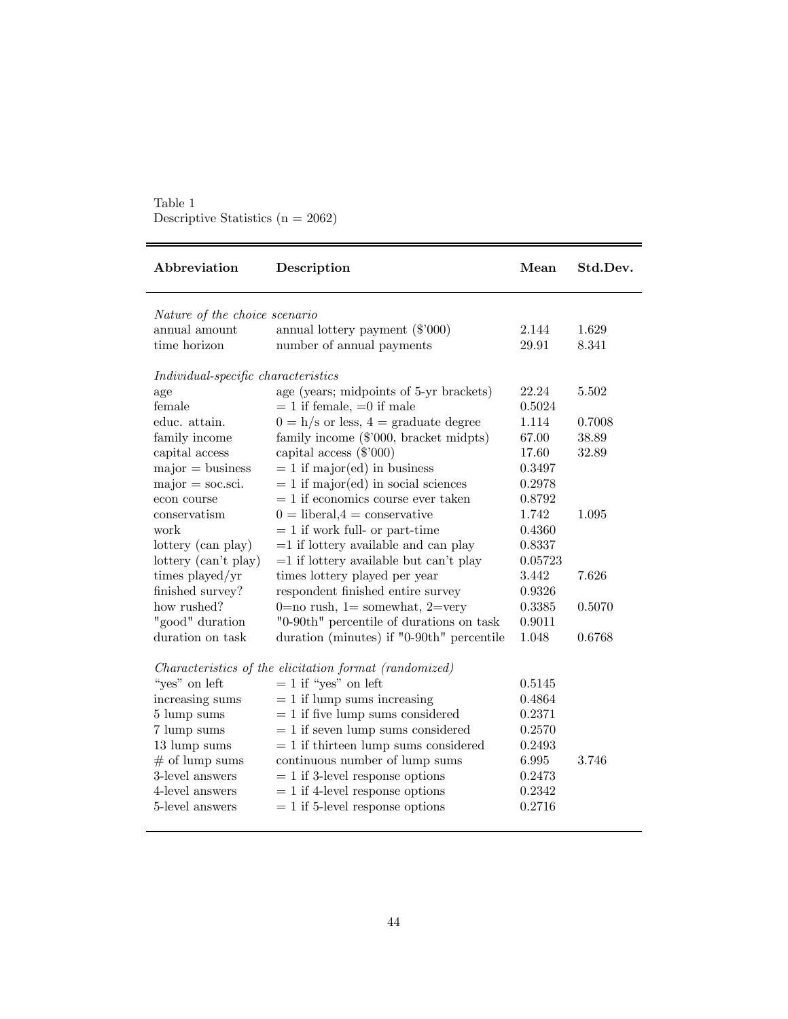| Table 1                               |  |
|---------------------------------------|--|
| Descriptive Statistics ( $n = 2062$ ) |  |

| Abbreviation                        | Description                                            | Mean    | Std.Dev. |
|-------------------------------------|--------------------------------------------------------|---------|----------|
| Nature of the choice scenario       |                                                        |         |          |
| annual amount                       | annual lottery payment $(\$'000)$                      | 2.144   | 1.629    |
| time horizon                        | number of annual payments                              | 29.91   | 8.341    |
| Individual-specific characteristics |                                                        |         |          |
| age                                 | age (years; midpoints of 5-yr brackets)                | 22.24   | 5.502    |
| female                              | $= 1$ if female, $= 0$ if male                         | 0.5024  |          |
| educ. attain.                       | $0 = h/s$ or less, $4 = \text{graduate degree}$        | 1.114   | 0.7008   |
| family income                       | family income (\$'000, bracket midpts)                 | 67.00   | 38.89    |
| capital access                      | capital access $(\$'000)$                              | 17.60   | 32.89    |
| $major = business$                  | $= 1$ if major(ed) in business                         | 0.3497  |          |
| $major = soc.sci.$                  | $= 1$ if major(ed) in social sciences                  | 0.2978  |          |
| econ course                         | $= 1$ if economics course ever taken                   | 0.8792  |          |
| conservatism                        | $0 =$ liberal, $4 =$ conservative                      | 1.742   | 1.095    |
| work                                | $= 1$ if work full- or part-time                       | 0.4360  |          |
| lottery (can play)                  | $=1$ if lottery available and can play                 | 0.8337  |          |
| lottery (can't play)                | $=1$ if lottery available but can't play               | 0.05723 |          |
| times played/yr                     | times lottery played per year                          | 3.442   | 7.626    |
| finished survey?                    | respondent finished entire survey                      | 0.9326  |          |
| how rushed?                         | $0=$ no rush, $1=$ somewhat, $2=$ very                 | 0.3385  | 0.5070   |
| "good" duration                     | "0-90th" percentile of durations on task               | 0.9011  |          |
| duration on task                    | duration (minutes) if "0-90th" percentile              | 1.048   | 0.6768   |
|                                     | Characteristics of the elicitation format (randomized) |         |          |
| "yes" on left                       | $= 1$ if "yes" on left                                 | 0.5145  |          |
| increasing sums                     | $= 1$ if lump sums increasing                          | 0.4864  |          |
| 5 lump sums                         | $= 1$ if five lump sums considered                     | 0.2371  |          |
| 7 lump sums                         | $= 1$ if seven lump sums considered                    | 0.2570  |          |
| 13 lump sums                        | $= 1$ if thirteen lump sums considered                 | 0.2493  |          |
| $#$ of lump sums                    | continuous number of lump sums                         | 6.995   | 3.746    |
| 3-level answers                     | $= 1$ if 3-level response options                      | 0.2473  |          |
| 4-level answers                     | $= 1$ if 4-level response options                      | 0.2342  |          |
| 5-level answers                     | $= 1$ if 5-level response options                      | 0.2716  |          |
|                                     |                                                        |         |          |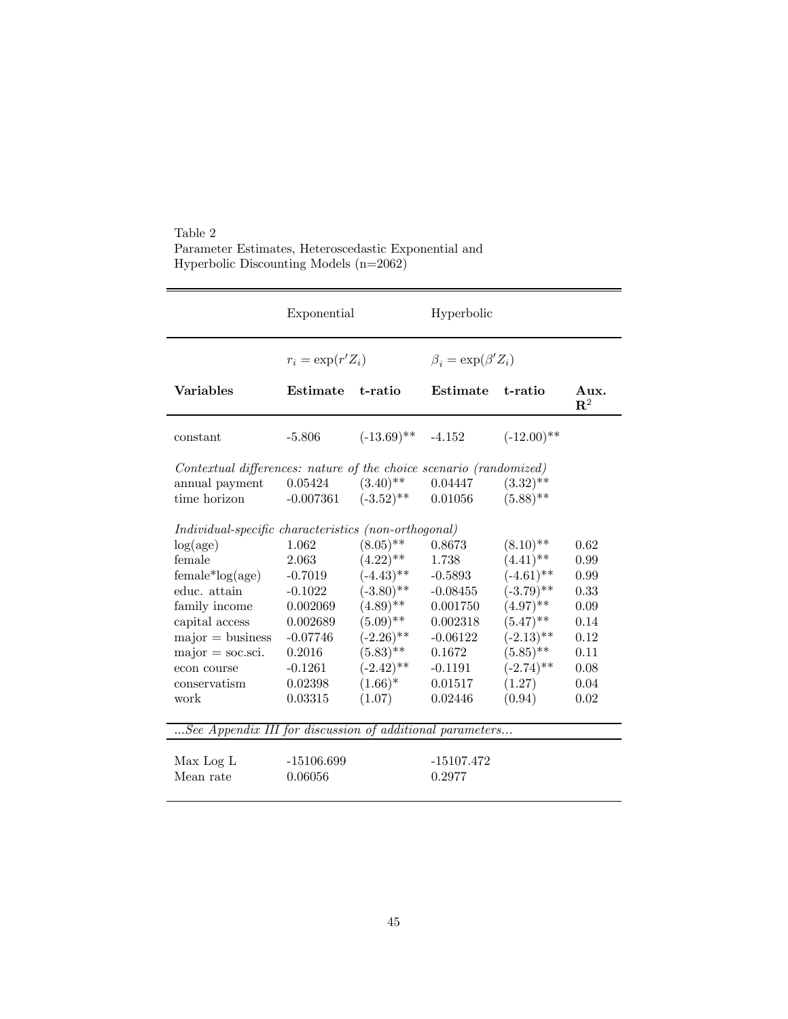Table 2 Parameter Estimates, Heteroscedastic Exponential and Hyperbolic Discounting Models (n=2062)

|                                                                    | Exponential          |                                   | Hyperbolic                      |               |                        |
|--------------------------------------------------------------------|----------------------|-----------------------------------|---------------------------------|---------------|------------------------|
|                                                                    | $r_i = \exp(r' Z_i)$ |                                   | $\beta_i = \exp(\beta' Z_i)$    |               |                        |
| <b>Variables</b>                                                   | Estimate             | t-ratio                           | Estimate                        | t-ratio       | Aux.<br>$\mathbf{R}^2$ |
| constant                                                           | $-5.806$             | $(-13.69)$ <sup>**</sup> $-4.152$ |                                 | $(-12.00)$ ** |                        |
| Contextual differences: nature of the choice scenario (randomized) |                      |                                   |                                 |               |                        |
| annual payment 0.05424                                             |                      | $(3.40)$ <sup>**</sup>            | 0.04447                         | $(3.32)$ **   |                        |
| time horizon                                                       | $-0.007361$          |                                   | $(-3.52)$ <sup>**</sup> 0.01056 | $(5.88)$ **   |                        |
| Individual-specific characteristics (non-orthogonal)               |                      |                                   |                                 |               |                        |
| log(age)                                                           | 1.062                | $(8.05)$ **                       | 0.8673                          | $(8.10)$ **   | 0.62                   |
| female                                                             | 2.063                | $(4.22)$ **                       | 1.738                           | $(4.41)$ **   | 0.99                   |
| $female*log(age)$                                                  | $-0.7019$            | $(-4.43)$ **                      | $-0.5893$                       | $(-4.61)$ **  | 0.99                   |
| educ. attain                                                       | $-0.1022$            | $(-3.80)$ **                      | $-0.08455$                      | $(-3.79)$ **  | 0.33                   |
| family income                                                      | 0.002069             | $(4.89)$ **                       | 0.001750                        | $(4.97)$ **   | 0.09                   |
| capital access                                                     | 0.002689             | $(5.09)$ **                       | 0.002318                        | $(5.47)$ **   | 0.14                   |
| $major = business$                                                 | $-0.07746$           | $(-2.26)$ **                      | $-0.06122$                      | $(-2.13)$ **  | 0.12                   |
| $major = soc.sci.$                                                 | 0.2016               | $(5.83)$ **                       | 0.1672                          | $(5.85)$ **   | 0.11                   |
| econ course                                                        | $-0.1261$            | $(-2.42)$ **                      | $-0.1191$                       | $(-2.74)$ **  | 0.08                   |
| conservatism                                                       | 0.02398              | $(1.66)^*$                        | 0.01517                         | (1.27)        | 0.04                   |
| work                                                               | 0.03315              | (1.07)                            | 0.02446                         | (0.94)        | 0.02                   |
| See Appendix III for discussion of additional parameters           |                      |                                   |                                 |               |                        |
|                                                                    |                      |                                   |                                 |               |                        |
| Max Log L                                                          | $-15106.699$         |                                   | $-15107.472$                    |               |                        |
| Mean rate                                                          | 0.06056              |                                   | 0.2977                          |               |                        |
|                                                                    |                      |                                   |                                 |               |                        |

 $=$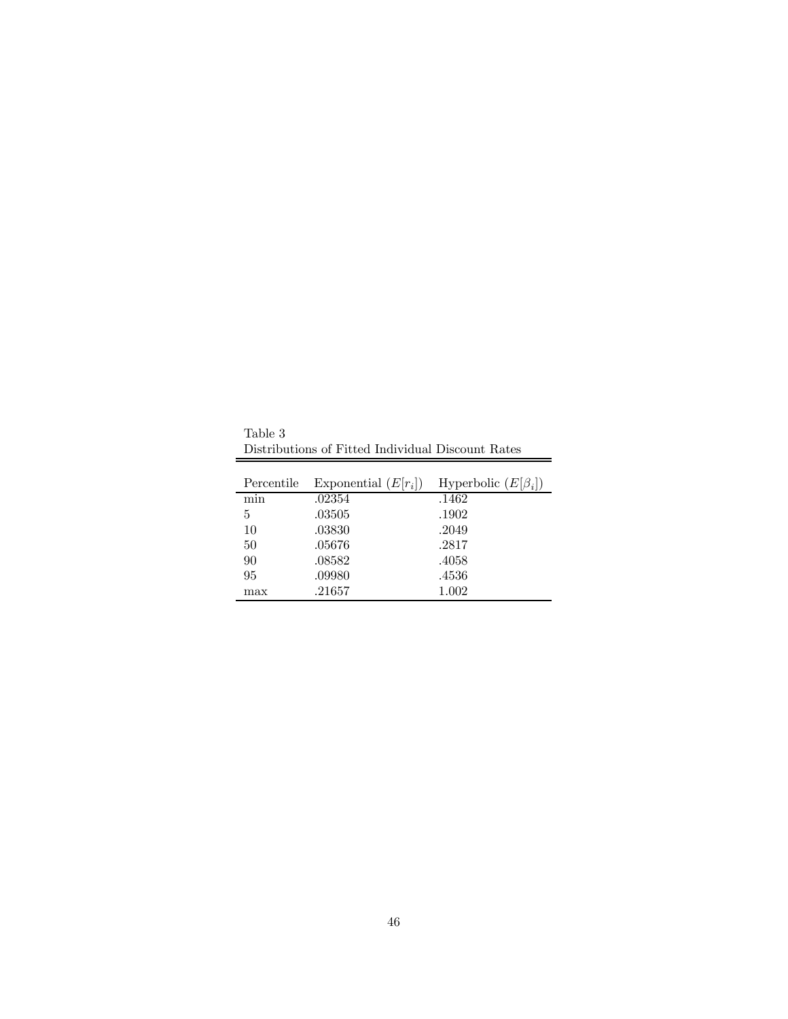Table 3 Distributions of Fitted Individual Discount Rates

 $\overline{a}$ 

| Percentile | Exponential $(E r_i )$ | Hyperbolic $(E \beta_i )$ |
|------------|------------------------|---------------------------|
| mın        | .02354                 | .1462                     |
| 5          | .03505                 | .1902                     |
| 10         | .03830                 | .2049                     |
| 50         | .05676                 | .2817                     |
| 90         | .08582                 | .4058                     |
| 95         | .09980                 | .4536                     |
| max        | .21657                 | 1.002                     |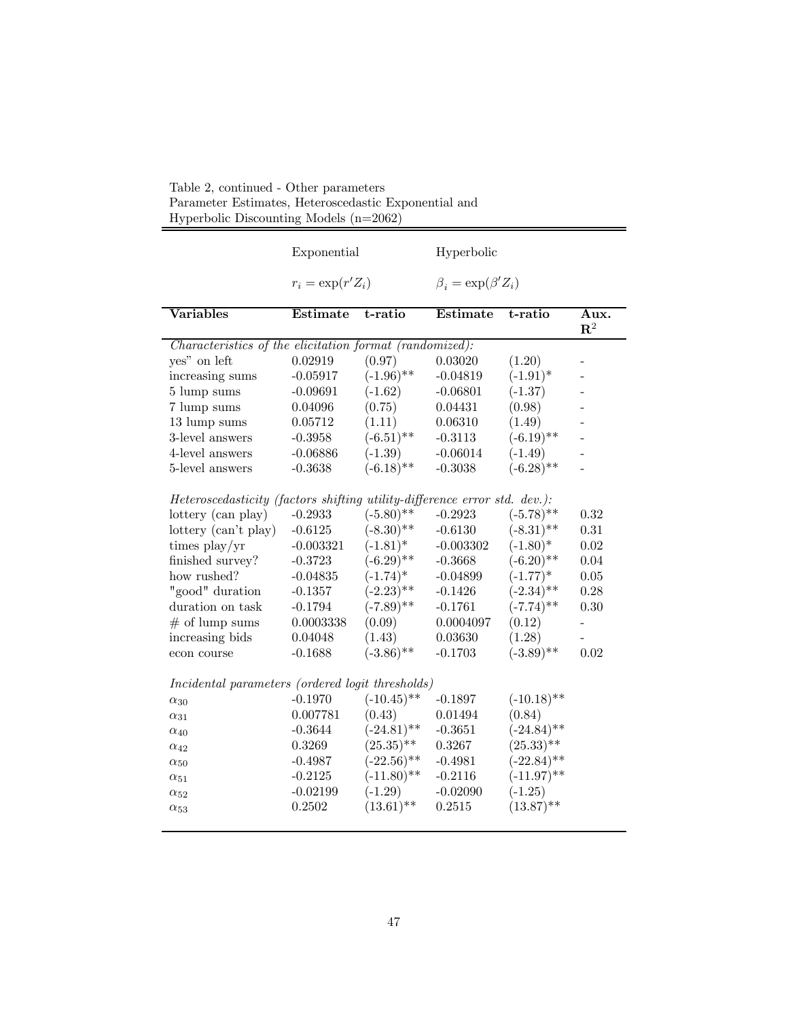| htyperbone Dheecameing models (in                                         |                      |               |                              |               |                          |
|---------------------------------------------------------------------------|----------------------|---------------|------------------------------|---------------|--------------------------|
|                                                                           | Exponential          |               | Hyperbolic                   |               |                          |
|                                                                           | $r_i = \exp(r' Z_i)$ |               | $\beta_i = \exp(\beta' Z_i)$ |               |                          |
| <b>Variables</b>                                                          | Estimate             | t-ratio       | $\overline{\text{Estimate}}$ | t-ratio       | Aux.<br>${\bf R}^2$      |
| Characteristics of the elicitation format (randomized):                   |                      |               |                              |               |                          |
| yes" on left                                                              | 0.02919              | (0.97)        | 0.03020                      | (1.20)        |                          |
| increasing sums                                                           | $-0.05917$           | $(-1.96)$ **  | $-0.04819$                   | $(-1.91)^*$   | $\overline{\phantom{0}}$ |
| 5 lump sums                                                               | $-0.09691$           | $(-1.62)$     | $-0.06801$                   | $(-1.37)$     | $\overline{\phantom{0}}$ |
| 7 lump sums                                                               | 0.04096              | (0.75)        | 0.04431                      | (0.98)        | $\overline{\phantom{0}}$ |
| 13 lump sums                                                              | 0.05712              | (1.11)        | 0.06310                      | (1.49)        |                          |
| 3-level answers                                                           | $-0.3958$            | $(-6.51)$ **  | $-0.3113$                    | $(-6.19)$ **  |                          |
| 4-level answers                                                           | $-0.06886$           | $(-1.39)$     | $-0.06014$                   | $(-1.49)$     |                          |
| 5-level answers                                                           | $-0.3638$            | $(-6.18)$ **  | $-0.3038$                    | $(-6.28)$ **  |                          |
| Heteroscedasticity (factors shifting utility-difference error std. dev.): |                      |               |                              |               |                          |
| lottery (can play)                                                        | $-0.2933$            | $(-5.80)$ **  | $-0.2923$                    | $(-5.78)$ **  | 0.32                     |
| lottery (can't play)                                                      | $-0.6125$            | $(-8.30)$ **  | $-0.6130$                    | $(-8.31)$ **  | $0.31\,$                 |
| times $play/yr$                                                           | $-0.003321$          | $(-1.81)^*$   | $-0.003302$                  | $(-1.80)^*$   | 0.02                     |
| finished survey?                                                          | $-0.3723$            | $(-6.29)$ **  | $-0.3668$                    | $(-6.20)$ **  | 0.04                     |
| how rushed?                                                               | $-0.04835$           | $(-1.74)^*$   | $-0.04899$                   | $(-1.77)^*$   | $0.05\,$                 |
| "good" duration                                                           | $-0.1357$            | $(-2.23)$ **  | $-0.1426$                    | $(-2.34)$ **  | 0.28                     |
| duration on task                                                          | $-0.1794$            | $(-7.89)$ **  | $-0.1761$                    | $(-7.74)$ **  | 0.30                     |
| $#$ of lump sums                                                          | 0.0003338            | (0.09)        | 0.0004097                    | (0.12)        | $\overline{\phantom{0}}$ |
| increasing bids                                                           | 0.04048              | (1.43)        | 0.03630                      | (1.28)        | -                        |
| econ course                                                               | $-0.1688$            | $(-3.86)$ **  | $-0.1703$                    | $(-3.89)$ **  | 0.02                     |
| Incidental parameters (ordered logit thresholds)                          |                      |               |                              |               |                          |
| $\alpha_{30}$                                                             | $-0.1970$            | $(-10.45)$ ** | $-0.1897$                    | $(-10.18)$ ** |                          |
| $\alpha_{31}$                                                             | 0.007781             | (0.43)        | 0.01494                      | (0.84)        |                          |
| $\alpha_{40}$                                                             | $-0.3644$            | $(-24.81)$ ** | $-0.3651$                    | $(-24.84)$ ** |                          |
| $\alpha_{42}$                                                             | 0.3269               | $(25.35)$ **  | 0.3267                       | $(25.33)$ **  |                          |
| $\alpha_{50}$                                                             | $-0.4987$            | $(-22.56)$ ** | $-0.4981$                    | $(-22.84)$ ** |                          |
| $\alpha_{51}$                                                             | $-0.2125$            | $(-11.80)$ ** | $-0.2116$                    | $(-11.97)$ ** |                          |
| $\alpha_{52}$                                                             | $-0.02199$           | $(-1.29)$     | $-0.02090$                   | $(-1.25)$     |                          |
| $\alpha_{53}$                                                             | 0.2502               | $(13.61)$ **  | 0.2515                       | $(13.87)$ **  |                          |

Table 2, continued - Other parameters Parameter Estimates, Heteroscedastic Exponential and Hyperbolic Discounting Models (n=2062)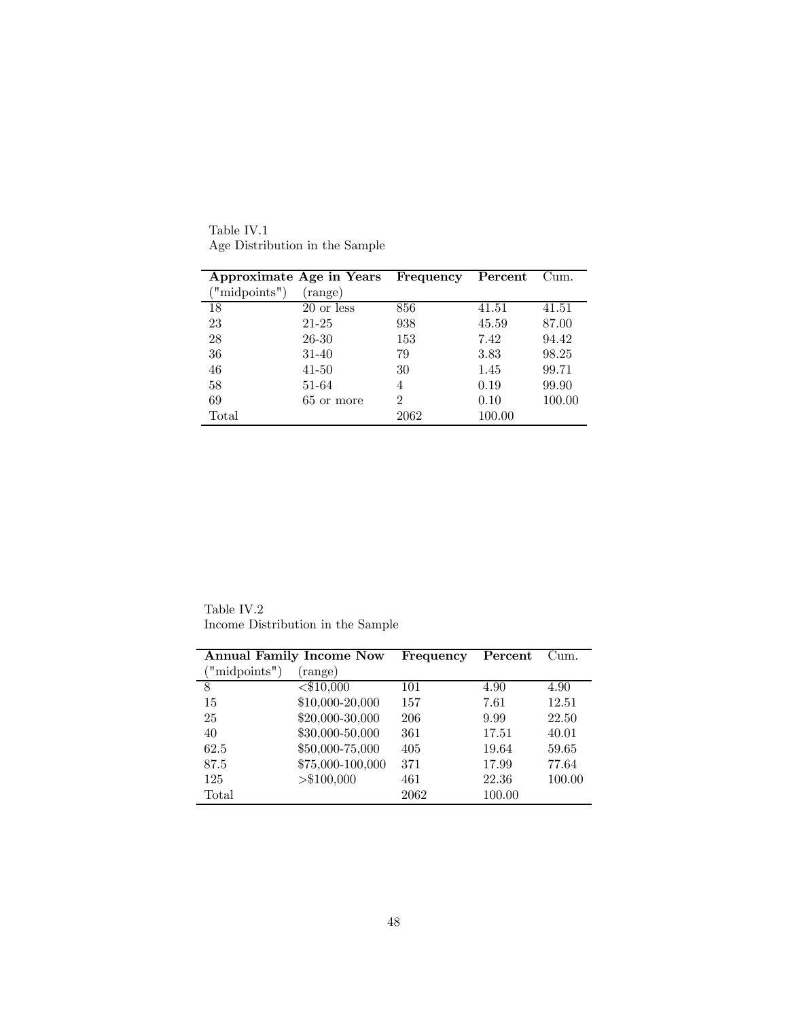|              | Approximate Age in Years | Frequency | Percent | Cum.   |
|--------------|--------------------------|-----------|---------|--------|
| "midpoints") | (range)                  |           |         |        |
| 18           | 20 or less               | 856       | 41.51   | 41.51  |
| 23           | 21-25                    | 938       | 45.59   | 87.00  |
| 28           | 26-30                    | 153       | 7.42    | 94.42  |
| 36           | $31 - 40$                | 79        | 3.83    | 98.25  |
| 46           | $41 - 50$                | 30        | 1.45    | 99.71  |
| 58           | 51-64                    | 4         | 0.19    | 99.90  |
| 69           | 65 or more               | 2         | 0.10    | 100.00 |
| Total        |                          | 2062      | 100.00  |        |

Table IV.1 Age Distribution in the Sample

Table IV.2 Income Distribution in the Sample

|               | <b>Annual Family Income Now</b> | Frequency | Percent | Cum.   |
|---------------|---------------------------------|-----------|---------|--------|
| ("midpoints") | (range)                         |           |         |        |
| 8             | $\overline{<\$10,000}$          | 101       | 4.90    | 4.90   |
| 15            | \$10,000-20,000                 | 157       | 7.61    | 12.51  |
| 25            | \$20,000-30,000                 | 206       | 9.99    | 22.50  |
| 40            | \$30,000-50,000                 | 361       | 17.51   | 40.01  |
| 62.5          | \$50,000-75,000                 | 405       | 19.64   | 59.65  |
| 87.5          | \$75,000-100,000                | 371       | 17.99   | 77.64  |
| 125           | > \$100,000                     | 461       | 22.36   | 100.00 |
| Total         |                                 | 2062      | 100.00  |        |